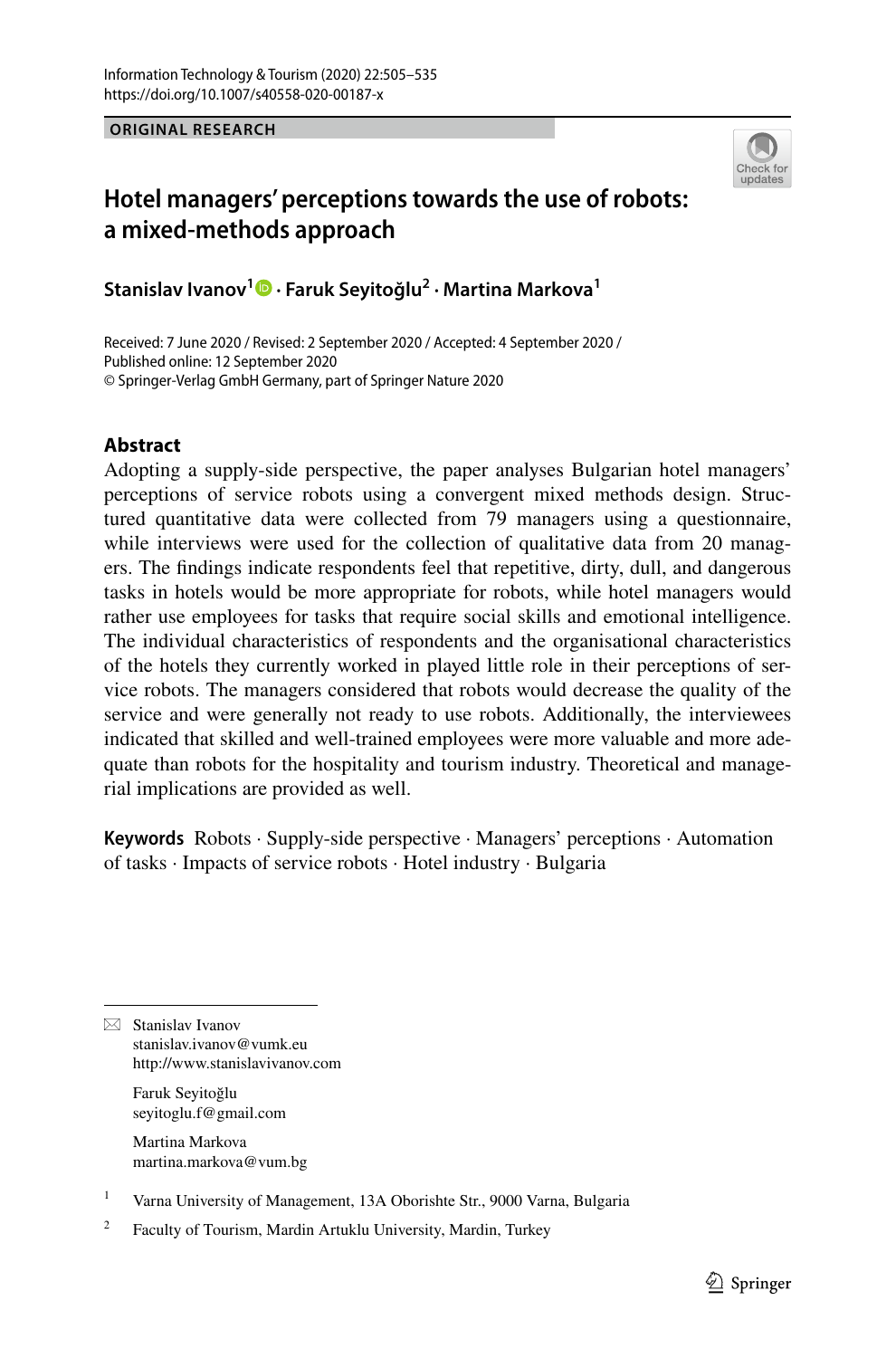**ORIGINAL RESEARCH**



# **Hotel managers' perceptions towards the use of robots: a mixed‑methods approach**

**Stanislav Ivanov<sup>1</sup>  [·](http://orcid.org/0000-0002-6851-5823) Faruk Seyitoğlu2 · Martina Markova1**

Received: 7 June 2020 / Revised: 2 September 2020 / Accepted: 4 September 2020 / Published online: 12 September 2020 © Springer-Verlag GmbH Germany, part of Springer Nature 2020

# **Abstract**

Adopting a supply-side perspective, the paper analyses Bulgarian hotel managers' perceptions of service robots using a convergent mixed methods design. Structured quantitative data were collected from 79 managers using a questionnaire, while interviews were used for the collection of qualitative data from 20 managers. The fndings indicate respondents feel that repetitive, dirty, dull, and dangerous tasks in hotels would be more appropriate for robots, while hotel managers would rather use employees for tasks that require social skills and emotional intelligence. The individual characteristics of respondents and the organisational characteristics of the hotels they currently worked in played little role in their perceptions of service robots. The managers considered that robots would decrease the quality of the service and were generally not ready to use robots. Additionally, the interviewees indicated that skilled and well-trained employees were more valuable and more adequate than robots for the hospitality and tourism industry. Theoretical and managerial implications are provided as well.

**Keywords** Robots · Supply-side perspective · Managers' perceptions · Automation of tasks · Impacts of service robots · Hotel industry · Bulgaria

 $\boxtimes$  Stanislav Ivanov stanislav.ivanov@vumk.eu http://www.stanislavivanov.com

> Faruk Seyitoğlu seyitoglu.f@gmail.com

Martina Markova martina.markova@vum.bg

<sup>1</sup> Varna University of Management, 13A Oborishte Str., 9000 Varna, Bulgaria

<sup>2</sup> Faculty of Tourism, Mardin Artuklu University, Mardin, Turkey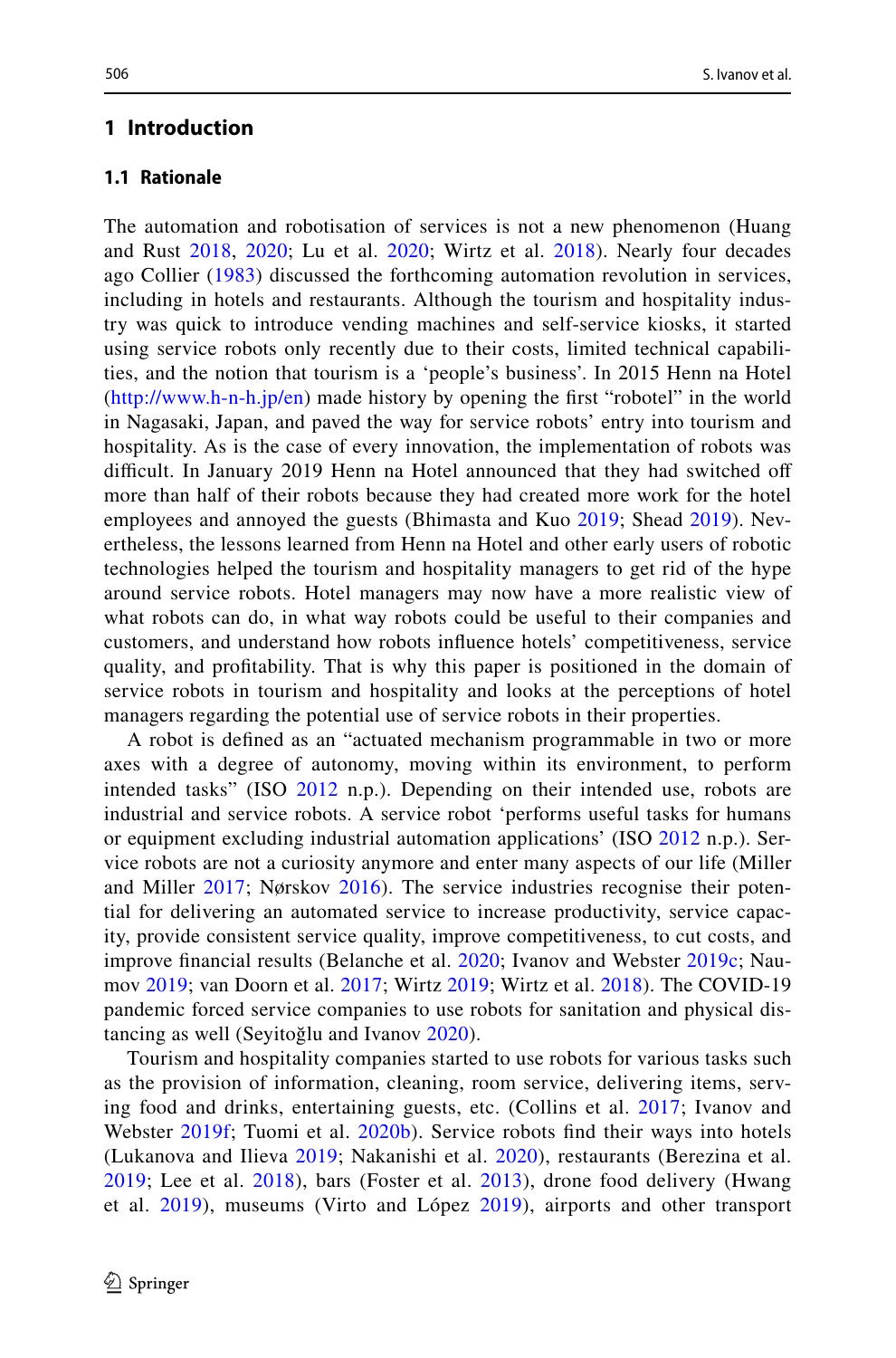### **1 Introduction**

## **1.1 Rationale**

The automation and robotisation of services is not a new phenomenon (Huang and Rust [2018,](#page-27-0) [2020](#page-27-1); Lu et al. [2020;](#page-28-0) Wirtz et al. [2018](#page-30-0)). Nearly four decades ago Collier ([1983](#page-26-0)) discussed the forthcoming automation revolution in services, including in hotels and restaurants. Although the tourism and hospitality industry was quick to introduce vending machines and self-service kiosks, it started using service robots only recently due to their costs, limited technical capabilities, and the notion that tourism is a 'people's business'. In 2015 Henn na Hotel [\(http://www.h-n-h.jp/en](http://www.h-n-h.jp/en)) made history by opening the frst "robotel" in the world in Nagasaki, Japan, and paved the way for service robots' entry into tourism and hospitality. As is the case of every innovation, the implementation of robots was difficult. In January 2019 Henn na Hotel announced that they had switched off more than half of their robots because they had created more work for the hotel employees and annoyed the guests (Bhimasta and Kuo [2019;](#page-26-1) Shead [2019](#page-29-0)). Nevertheless, the lessons learned from Henn na Hotel and other early users of robotic technologies helped the tourism and hospitality managers to get rid of the hype around service robots. Hotel managers may now have a more realistic view of what robots can do, in what way robots could be useful to their companies and customers, and understand how robots infuence hotels' competitiveness, service quality, and proftability. That is why this paper is positioned in the domain of service robots in tourism and hospitality and looks at the perceptions of hotel managers regarding the potential use of service robots in their properties.

A robot is defned as an "actuated mechanism programmable in two or more axes with a degree of autonomy, moving within its environment, to perform intended tasks" (ISO [2012](#page-27-2) n.p.). Depending on their intended use, robots are industrial and service robots. A service robot 'performs useful tasks for humans or equipment excluding industrial automation applications' (ISO [2012](#page-27-2) n.p.). Service robots are not a curiosity anymore and enter many aspects of our life (Miller and Miller [2017](#page-28-1); Nørskov [2016\)](#page-29-1). The service industries recognise their potential for delivering an automated service to increase productivity, service capacity, provide consistent service quality, improve competitiveness, to cut costs, and improve fnancial results (Belanche et al. [2020](#page-26-2); Ivanov and Webster [2019c](#page-27-3); Naumov [2019](#page-29-2); van Doorn et al. [2017;](#page-30-1) Wirtz [2019](#page-30-2); Wirtz et al. [2018](#page-30-0)). The COVID-19 pandemic forced service companies to use robots for sanitation and physical distancing as well (Seyitoğlu and Ivanov [2020](#page-29-3)).

Tourism and hospitality companies started to use robots for various tasks such as the provision of information, cleaning, room service, delivering items, serving food and drinks, entertaining guests, etc. (Collins et al. [2017;](#page-26-3) Ivanov and Webster [2019f](#page-27-4); Tuomi et al. [2020b\)](#page-29-4). Service robots find their ways into hotels (Lukanova and Ilieva [2019;](#page-28-2) Nakanishi et al. [2020\)](#page-28-3), restaurants (Berezina et al. [2019;](#page-26-4) Lee et al. [2018\)](#page-28-4), bars (Foster et al. [2013\)](#page-27-5), drone food delivery (Hwang et al. [2019](#page-27-6)), museums (Virto and López [2019](#page-30-3)), airports and other transport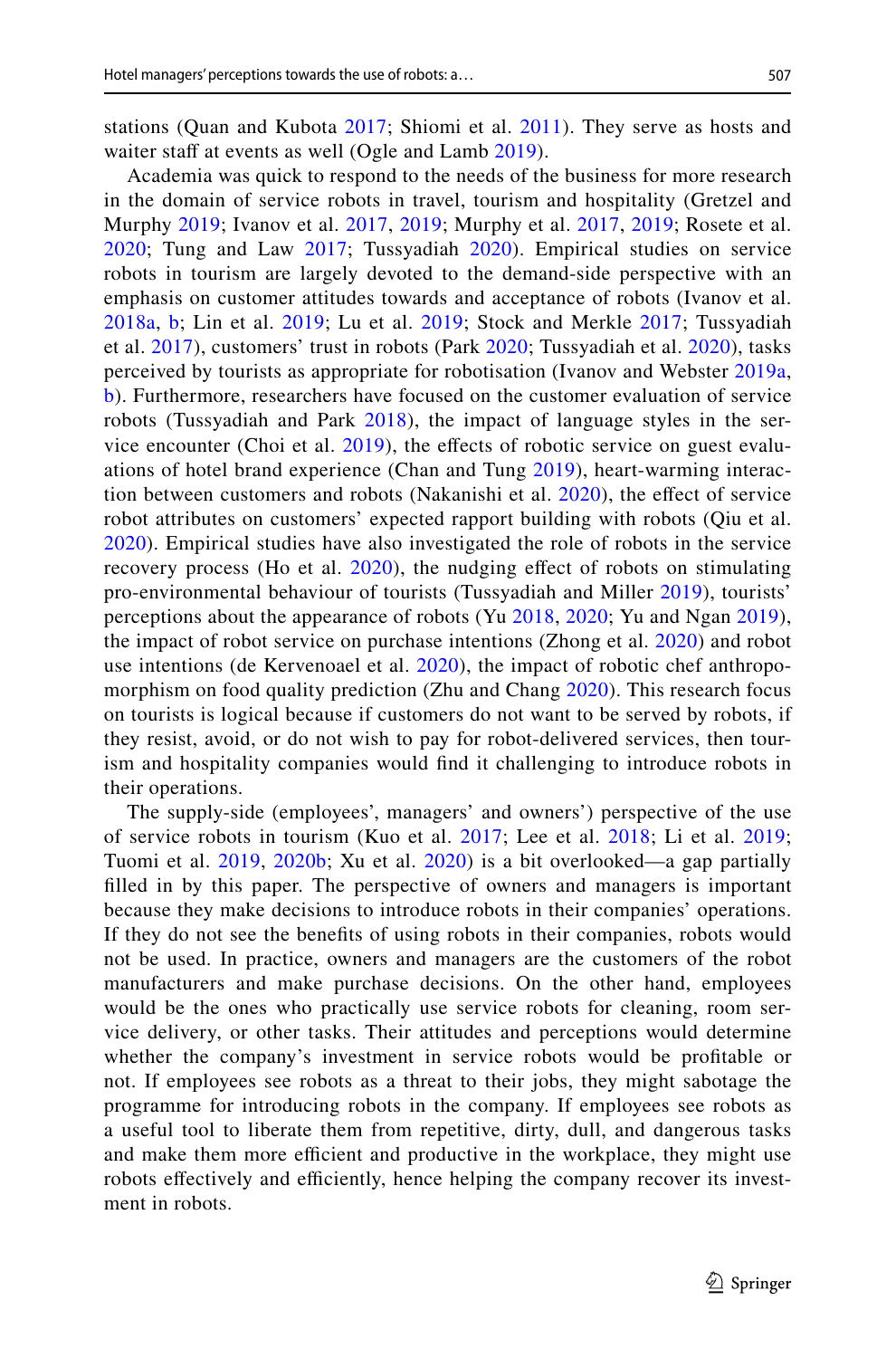stations (Quan and Kubota [2017;](#page-29-5) Shiomi et al. [2011\)](#page-29-6). They serve as hosts and waiter staff at events as well (Ogle and Lamb [2019](#page-29-7)).

Academia was quick to respond to the needs of the business for more research in the domain of service robots in travel, tourism and hospitality (Gretzel and Murphy [2019](#page-27-7); Ivanov et al. [2017](#page-28-5), [2019;](#page-28-6) Murphy et al. [2017](#page-28-7), [2019;](#page-28-8) Rosete et al. [2020;](#page-29-8) Tung and Law [2017](#page-29-9); Tussyadiah [2020](#page-29-10)). Empirical studies on service robots in tourism are largely devoted to the demand-side perspective with an emphasis on customer attitudes towards and acceptance of robots (Ivanov et al. [2018a](#page-28-9), [b](#page-28-10); Lin et al. [2019](#page-28-11); Lu et al. [2019](#page-28-12); Stock and Merkle [2017;](#page-29-11) Tussyadiah et al. [2017](#page-30-4)), customers' trust in robots (Park [2020](#page-29-12); Tussyadiah et al. [2020](#page-30-5)), tasks perceived by tourists as appropriate for robotisation (Ivanov and Webster [2019a,](#page-27-8) [b](#page-27-9)). Furthermore, researchers have focused on the customer evaluation of service robots (Tussyadiah and Park [2018\)](#page-29-13), the impact of language styles in the ser-vice encounter (Choi et al. [2019\)](#page-26-5), the effects of robotic service on guest evaluations of hotel brand experience (Chan and Tung [2019](#page-26-6)), heart-warming interaction between customers and robots (Nakanishi et al. [2020\)](#page-28-3), the efect of service robot attributes on customers' expected rapport building with robots (Qiu et al. [2020\)](#page-29-14). Empirical studies have also investigated the role of robots in the service recovery process (Ho et al. [2020\)](#page-27-10), the nudging efect of robots on stimulating pro-environmental behaviour of tourists (Tussyadiah and Miller [2019\)](#page-29-15), tourists' perceptions about the appearance of robots (Yu [2018](#page-30-6), [2020](#page-30-7); Yu and Ngan [2019](#page-30-8)), the impact of robot service on purchase intentions (Zhong et al. [2020](#page-30-9)) and robot use intentions (de Kervenoael et al. [2020](#page-27-11)), the impact of robotic chef anthropomorphism on food quality prediction (Zhu and Chang [2020\)](#page-30-10). This research focus on tourists is logical because if customers do not want to be served by robots, if they resist, avoid, or do not wish to pay for robot-delivered services, then tourism and hospitality companies would fnd it challenging to introduce robots in their operations.

The supply-side (employees', managers' and owners') perspective of the use of service robots in tourism (Kuo et al. [2017;](#page-28-13) Lee et al. [2018](#page-28-4); Li et al. [2019;](#page-28-14) Tuomi et al. [2019,](#page-29-16) [2020b](#page-29-4); Xu et al. [2020\)](#page-30-11) is a bit overlooked—a gap partially flled in by this paper. The perspective of owners and managers is important because they make decisions to introduce robots in their companies' operations. If they do not see the benefts of using robots in their companies, robots would not be used. In practice, owners and managers are the customers of the robot manufacturers and make purchase decisions. On the other hand, employees would be the ones who practically use service robots for cleaning, room service delivery, or other tasks. Their attitudes and perceptions would determine whether the company's investment in service robots would be proftable or not. If employees see robots as a threat to their jobs, they might sabotage the programme for introducing robots in the company. If employees see robots as a useful tool to liberate them from repetitive, dirty, dull, and dangerous tasks and make them more efficient and productive in the workplace, they might use robots effectively and efficiently, hence helping the company recover its investment in robots.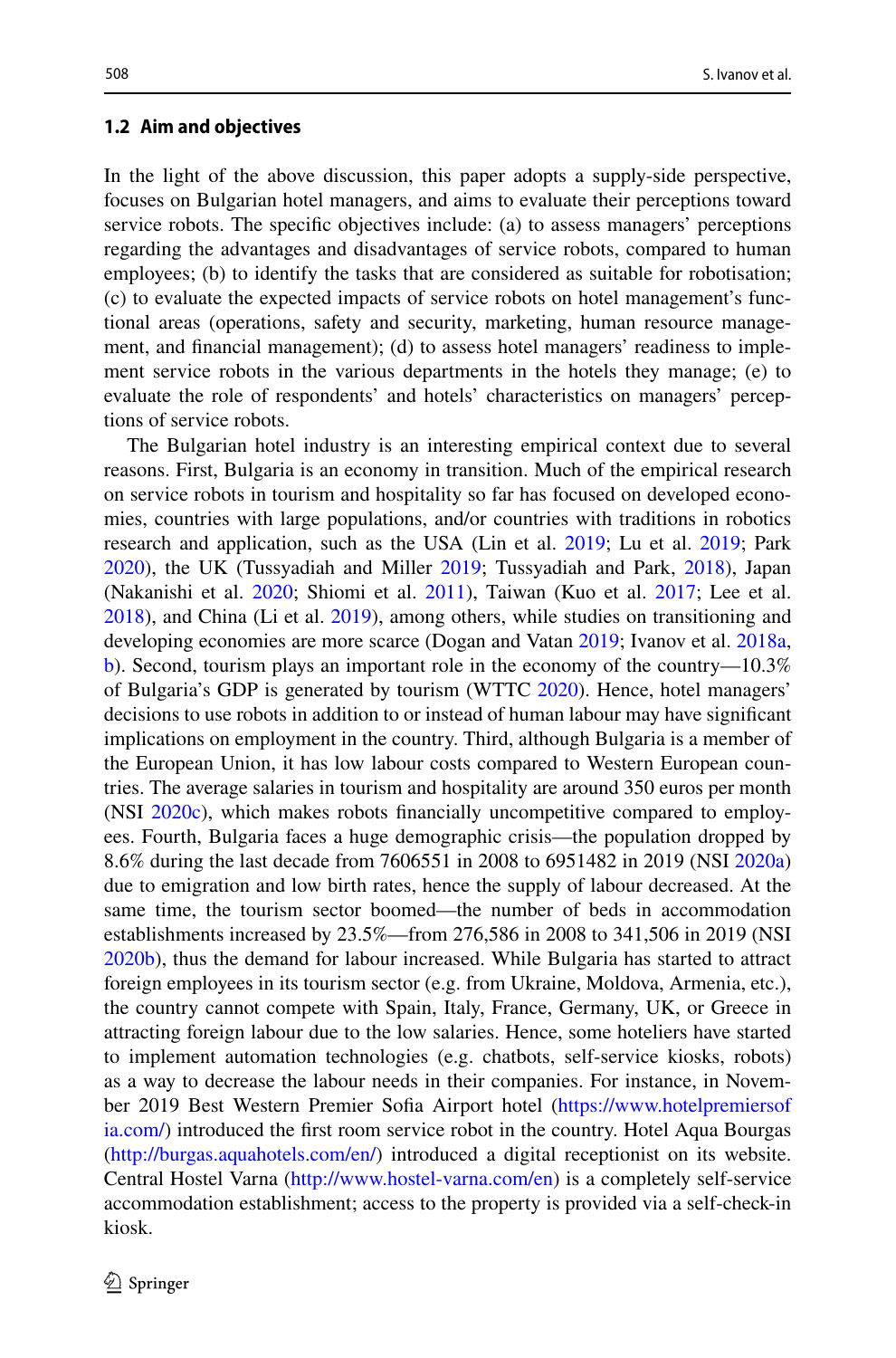#### **1.2 Aim and objectives**

In the light of the above discussion, this paper adopts a supply-side perspective, focuses on Bulgarian hotel managers, and aims to evaluate their perceptions toward service robots. The specifc objectives include: (a) to assess managers' perceptions regarding the advantages and disadvantages of service robots, compared to human employees; (b) to identify the tasks that are considered as suitable for robotisation; (c) to evaluate the expected impacts of service robots on hotel management's functional areas (operations, safety and security, marketing, human resource management, and fnancial management); (d) to assess hotel managers' readiness to implement service robots in the various departments in the hotels they manage; (e) to evaluate the role of respondents' and hotels' characteristics on managers' perceptions of service robots.

The Bulgarian hotel industry is an interesting empirical context due to several reasons. First, Bulgaria is an economy in transition. Much of the empirical research on service robots in tourism and hospitality so far has focused on developed economies, countries with large populations, and/or countries with traditions in robotics research and application, such as the USA (Lin et al. [2019](#page-28-11); Lu et al. [2019](#page-28-12); Park [2020](#page-29-12)), the UK (Tussyadiah and Miller [2019](#page-29-15); Tussyadiah and Park, [2018\)](#page-29-13), Japan (Nakanishi et al. [2020;](#page-28-3) Shiomi et al. [2011\)](#page-29-6), Taiwan (Kuo et al. [2017](#page-28-13); Lee et al. [2018](#page-28-4)), and China (Li et al. [2019](#page-28-14)), among others, while studies on transitioning and developing economies are more scarce (Dogan and Vatan [2019;](#page-27-12) Ivanov et al. [2018a,](#page-28-9) [b](#page-28-10)). Second, tourism plays an important role in the economy of the country—10.3% of Bulgaria's GDP is generated by tourism (WTTC [2020\)](#page-30-12). Hence, hotel managers' decisions to use robots in addition to or instead of human labour may have signifcant implications on employment in the country. Third, although Bulgaria is a member of the European Union, it has low labour costs compared to Western European countries. The average salaries in tourism and hospitality are around 350 euros per month (NSI [2020c\)](#page-29-17), which makes robots fnancially uncompetitive compared to employees. Fourth, Bulgaria faces a huge demographic crisis—the population dropped by 8.6% during the last decade from 7606551 in 2008 to 6951482 in 2019 (NSI [2020a\)](#page-29-18) due to emigration and low birth rates, hence the supply of labour decreased. At the same time, the tourism sector boomed—the number of beds in accommodation establishments increased by 23.5%—from 276,586 in 2008 to 341,506 in 2019 (NSI [2020b](#page-29-19)), thus the demand for labour increased. While Bulgaria has started to attract foreign employees in its tourism sector (e.g. from Ukraine, Moldova, Armenia, etc.), the country cannot compete with Spain, Italy, France, Germany, UK, or Greece in attracting foreign labour due to the low salaries. Hence, some hoteliers have started to implement automation technologies (e.g. chatbots, self-service kiosks, robots) as a way to decrease the labour needs in their companies. For instance, in November 2019 Best Western Premier Sofa Airport hotel ([https://www.hotelpremiersof](https://www.hotelpremiersofia.com/) [ia.com/\)](https://www.hotelpremiersofia.com/) introduced the frst room service robot in the country. Hotel Aqua Bourgas [\(http://burgas.aquahotels.com/en/](http://burgas.aquahotels.com/en/)) introduced a digital receptionist on its website. Central Hostel Varna (<http://www.hostel-varna.com/en>) is a completely self-service accommodation establishment; access to the property is provided via a self-check-in kiosk.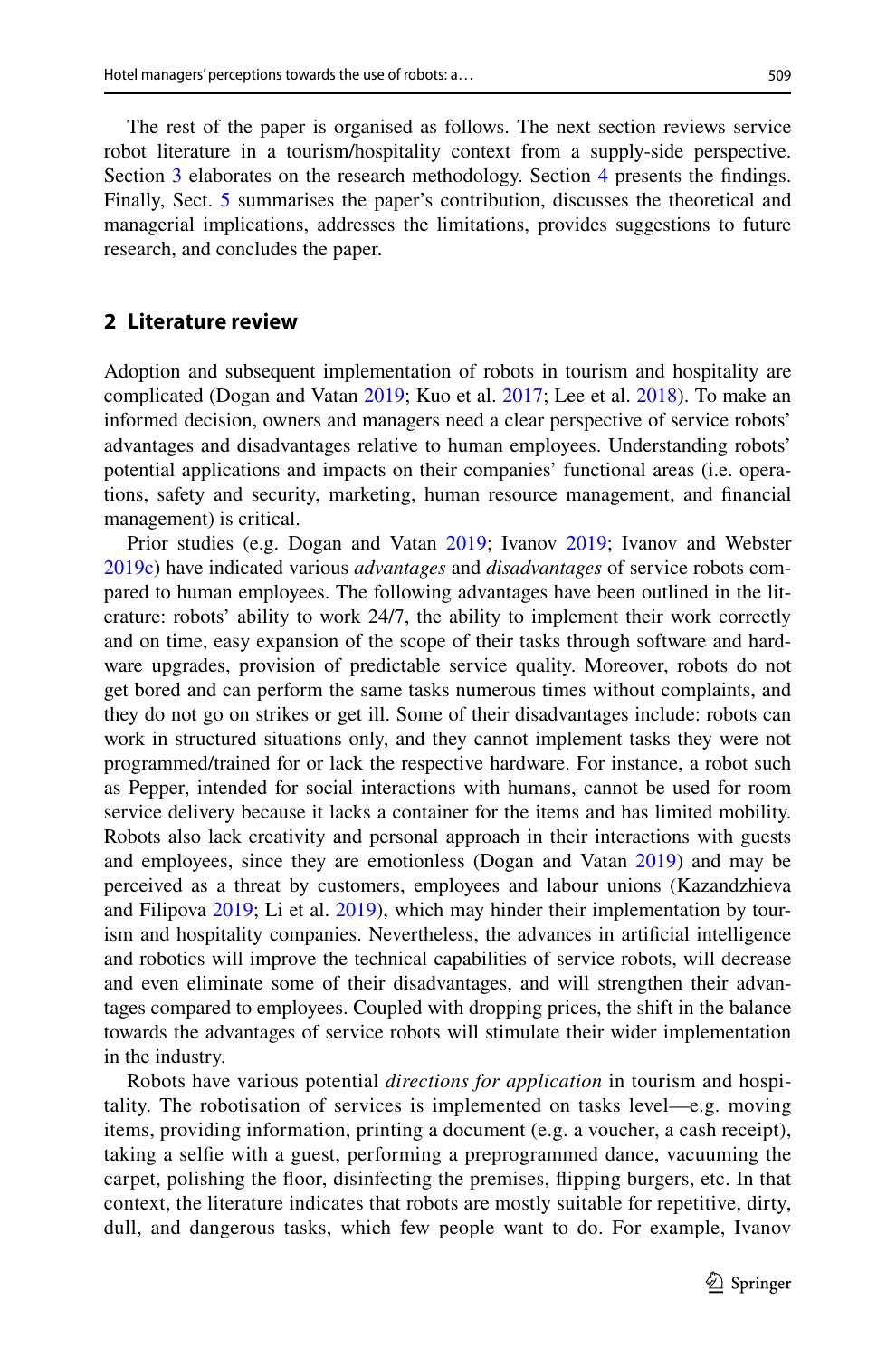The rest of the paper is organised as follows. The next section reviews service robot literature in a tourism/hospitality context from a supply-side perspective. Section [3](#page-7-0) elaborates on the research methodology. Section [4](#page-10-0) presents the fndings. Finally, Sect. [5](#page-22-0) summarises the paper's contribution, discusses the theoretical and managerial implications, addresses the limitations, provides suggestions to future research, and concludes the paper.

## **2 Literature review**

Adoption and subsequent implementation of robots in tourism and hospitality are complicated (Dogan and Vatan [2019;](#page-27-12) Kuo et al. [2017;](#page-28-13) Lee et al. [2018](#page-28-4)). To make an informed decision, owners and managers need a clear perspective of service robots' advantages and disadvantages relative to human employees. Understanding robots' potential applications and impacts on their companies' functional areas (i.e. operations, safety and security, marketing, human resource management, and fnancial management) is critical.

Prior studies (e.g. Dogan and Vatan [2019;](#page-27-12) Ivanov [2019;](#page-27-13) Ivanov and Webster [2019c](#page-27-3)) have indicated various *advantages* and *disadvantages* of service robots compared to human employees. The following advantages have been outlined in the literature: robots' ability to work 24/7, the ability to implement their work correctly and on time, easy expansion of the scope of their tasks through software and hardware upgrades, provision of predictable service quality. Moreover, robots do not get bored and can perform the same tasks numerous times without complaints, and they do not go on strikes or get ill. Some of their disadvantages include: robots can work in structured situations only, and they cannot implement tasks they were not programmed/trained for or lack the respective hardware. For instance, a robot such as Pepper, intended for social interactions with humans, cannot be used for room service delivery because it lacks a container for the items and has limited mobility. Robots also lack creativity and personal approach in their interactions with guests and employees, since they are emotionless (Dogan and Vatan [2019\)](#page-27-12) and may be perceived as a threat by customers, employees and labour unions (Kazandzhieva and Filipova [2019](#page-28-15); Li et al. [2019\)](#page-28-14), which may hinder their implementation by tourism and hospitality companies. Nevertheless, the advances in artifcial intelligence and robotics will improve the technical capabilities of service robots, will decrease and even eliminate some of their disadvantages, and will strengthen their advantages compared to employees. Coupled with dropping prices, the shift in the balance towards the advantages of service robots will stimulate their wider implementation in the industry.

Robots have various potential *directions for application* in tourism and hospitality. The robotisation of services is implemented on tasks level—e.g. moving items, providing information, printing a document (e.g. a voucher, a cash receipt), taking a selfe with a guest, performing a preprogrammed dance, vacuuming the carpet, polishing the foor, disinfecting the premises, fipping burgers, etc. In that context, the literature indicates that robots are mostly suitable for repetitive, dirty, dull, and dangerous tasks, which few people want to do. For example, Ivanov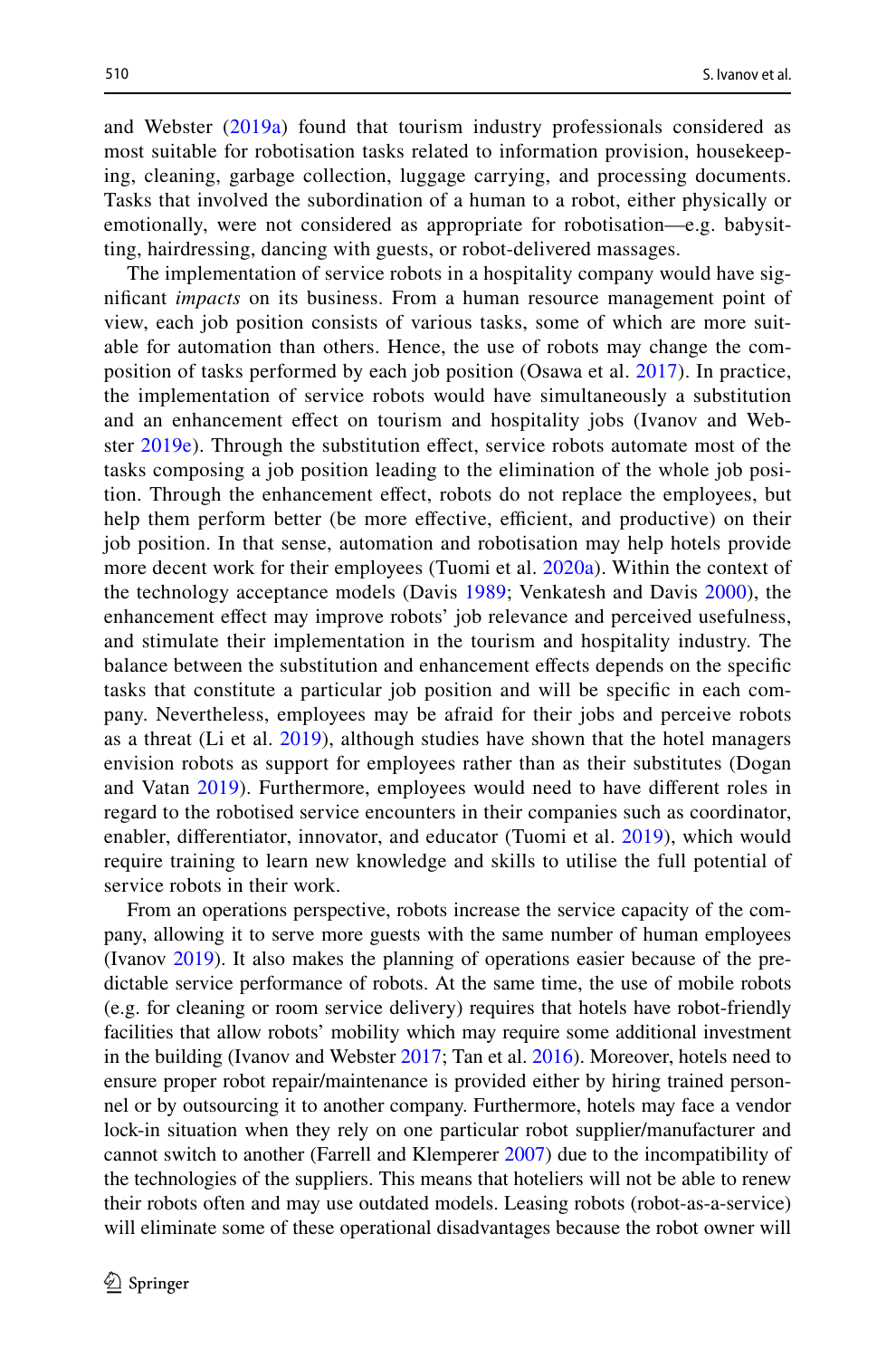and Webster ([2019a\)](#page-27-8) found that tourism industry professionals considered as most suitable for robotisation tasks related to information provision, housekeeping, cleaning, garbage collection, luggage carrying, and processing documents. Tasks that involved the subordination of a human to a robot, either physically or emotionally, were not considered as appropriate for robotisation—e.g. babysitting, hairdressing, dancing with guests, or robot-delivered massages.

The implementation of service robots in a hospitality company would have signifcant *impacts* on its business. From a human resource management point of view, each job position consists of various tasks, some of which are more suitable for automation than others. Hence, the use of robots may change the composition of tasks performed by each job position (Osawa et al. [2017\)](#page-29-20). In practice, the implementation of service robots would have simultaneously a substitution and an enhancement efect on tourism and hospitality jobs (Ivanov and Webster [2019e](#page-27-14)). Through the substitution efect, service robots automate most of the tasks composing a job position leading to the elimination of the whole job position. Through the enhancement effect, robots do not replace the employees, but help them perform better (be more effective, efficient, and productive) on their job position. In that sense, automation and robotisation may help hotels provide more decent work for their employees (Tuomi et al. [2020a\)](#page-29-21). Within the context of the technology acceptance models (Davis [1989;](#page-26-7) Venkatesh and Davis [2000](#page-30-13)), the enhancement efect may improve robots' job relevance and perceived usefulness, and stimulate their implementation in the tourism and hospitality industry. The balance between the substitution and enhancement efects depends on the specifc tasks that constitute a particular job position and will be specifc in each company. Nevertheless, employees may be afraid for their jobs and perceive robots as a threat (Li et al. [2019\)](#page-28-14), although studies have shown that the hotel managers envision robots as support for employees rather than as their substitutes (Dogan and Vatan [2019](#page-27-12)). Furthermore, employees would need to have diferent roles in regard to the robotised service encounters in their companies such as coordinator, enabler, diferentiator, innovator, and educator (Tuomi et al. [2019\)](#page-29-16), which would require training to learn new knowledge and skills to utilise the full potential of service robots in their work.

From an operations perspective, robots increase the service capacity of the company, allowing it to serve more guests with the same number of human employees (Ivanov [2019](#page-27-13)). It also makes the planning of operations easier because of the predictable service performance of robots. At the same time, the use of mobile robots (e.g. for cleaning or room service delivery) requires that hotels have robot-friendly facilities that allow robots' mobility which may require some additional investment in the building (Ivanov and Webster [2017;](#page-27-15) Tan et al. [2016](#page-29-22)). Moreover, hotels need to ensure proper robot repair/maintenance is provided either by hiring trained personnel or by outsourcing it to another company. Furthermore, hotels may face a vendor lock-in situation when they rely on one particular robot supplier/manufacturer and cannot switch to another (Farrell and Klemperer [2007\)](#page-27-16) due to the incompatibility of the technologies of the suppliers. This means that hoteliers will not be able to renew their robots often and may use outdated models. Leasing robots (robot-as-a-service) will eliminate some of these operational disadvantages because the robot owner will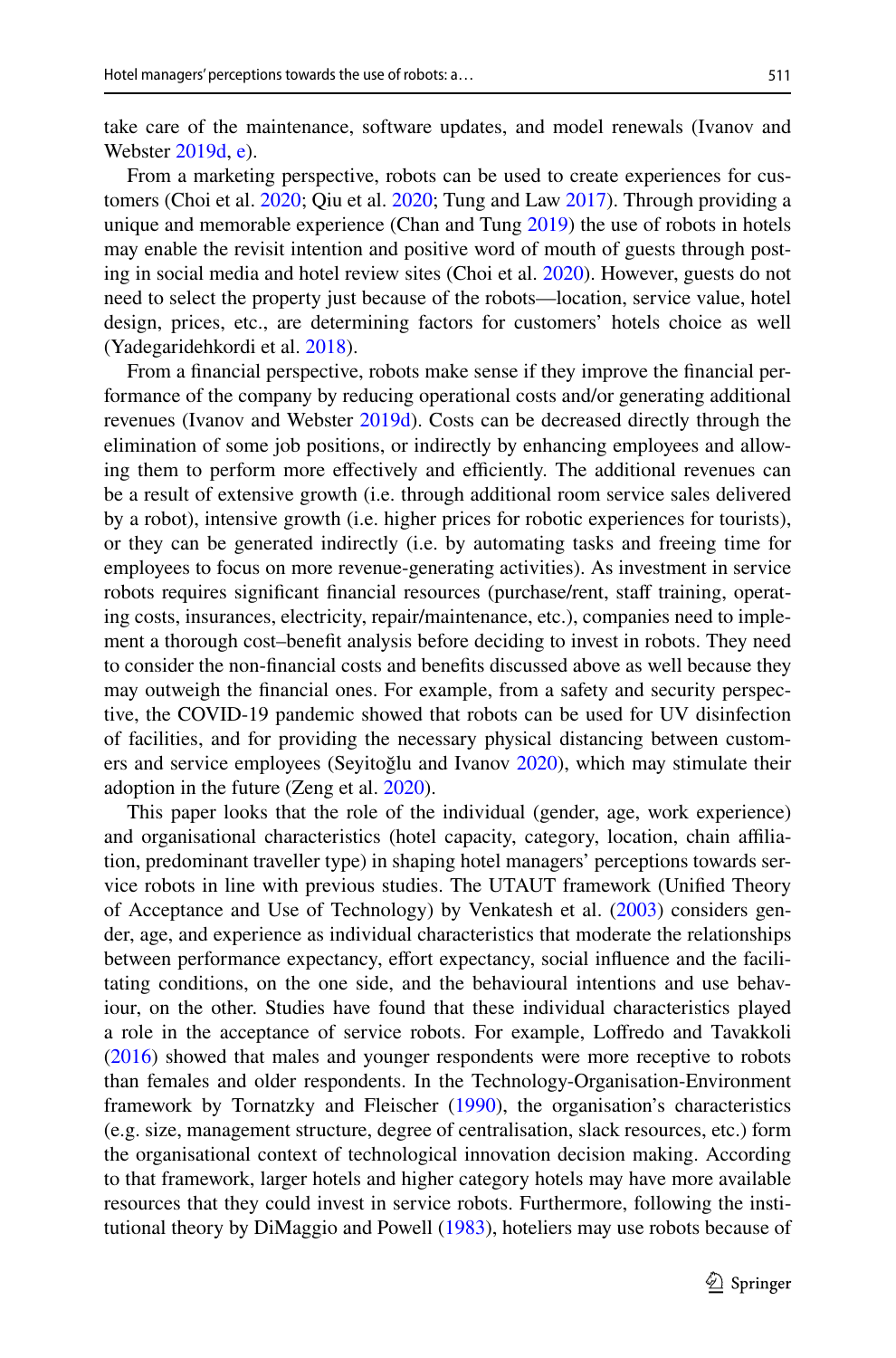take care of the maintenance, software updates, and model renewals (Ivanov and Webster [2019d](#page-27-17), [e\)](#page-27-14).

From a marketing perspective, robots can be used to create experiences for customers (Choi et al. [2020;](#page-26-8) Qiu et al. [2020](#page-29-14); Tung and Law [2017\)](#page-29-9). Through providing a unique and memorable experience (Chan and Tung [2019\)](#page-26-6) the use of robots in hotels may enable the revisit intention and positive word of mouth of guests through posting in social media and hotel review sites (Choi et al. [2020](#page-26-8)). However, guests do not need to select the property just because of the robots—location, service value, hotel design, prices, etc., are determining factors for customers' hotels choice as well (Yadegaridehkordi et al. [2018\)](#page-30-14).

From a fnancial perspective, robots make sense if they improve the fnancial performance of the company by reducing operational costs and/or generating additional revenues (Ivanov and Webster [2019d\)](#page-27-17). Costs can be decreased directly through the elimination of some job positions, or indirectly by enhancing employees and allowing them to perform more effectively and efficiently. The additional revenues can be a result of extensive growth (i.e. through additional room service sales delivered by a robot), intensive growth (i.e. higher prices for robotic experiences for tourists), or they can be generated indirectly (i.e. by automating tasks and freeing time for employees to focus on more revenue-generating activities). As investment in service robots requires significant financial resources (purchase/rent, staff training, operating costs, insurances, electricity, repair/maintenance, etc.), companies need to implement a thorough cost–beneft analysis before deciding to invest in robots. They need to consider the non-fnancial costs and benefts discussed above as well because they may outweigh the fnancial ones. For example, from a safety and security perspective, the COVID-19 pandemic showed that robots can be used for UV disinfection of facilities, and for providing the necessary physical distancing between customers and service employees (Seyitoğlu and Ivanov [2020\)](#page-29-3), which may stimulate their adoption in the future (Zeng et al. [2020](#page-30-15)).

This paper looks that the role of the individual (gender, age, work experience) and organisational characteristics (hotel capacity, category, location, chain afliation, predominant traveller type) in shaping hotel managers' perceptions towards service robots in line with previous studies. The UTAUT framework (Unifed Theory of Acceptance and Use of Technology) by Venkatesh et al. [\(2003](#page-30-16)) considers gender, age, and experience as individual characteristics that moderate the relationships between performance expectancy, efort expectancy, social infuence and the facilitating conditions, on the one side, and the behavioural intentions and use behaviour, on the other. Studies have found that these individual characteristics played a role in the acceptance of service robots. For example, Lofredo and Tavakkoli [\(2016](#page-28-16)) showed that males and younger respondents were more receptive to robots than females and older respondents. In the Technology-Organisation-Environment framework by Tornatzky and Fleischer [\(1990](#page-29-23)), the organisation's characteristics (e.g. size, management structure, degree of centralisation, slack resources, etc.) form the organisational context of technological innovation decision making. According to that framework, larger hotels and higher category hotels may have more available resources that they could invest in service robots. Furthermore, following the institutional theory by DiMaggio and Powell [\(1983](#page-27-18)), hoteliers may use robots because of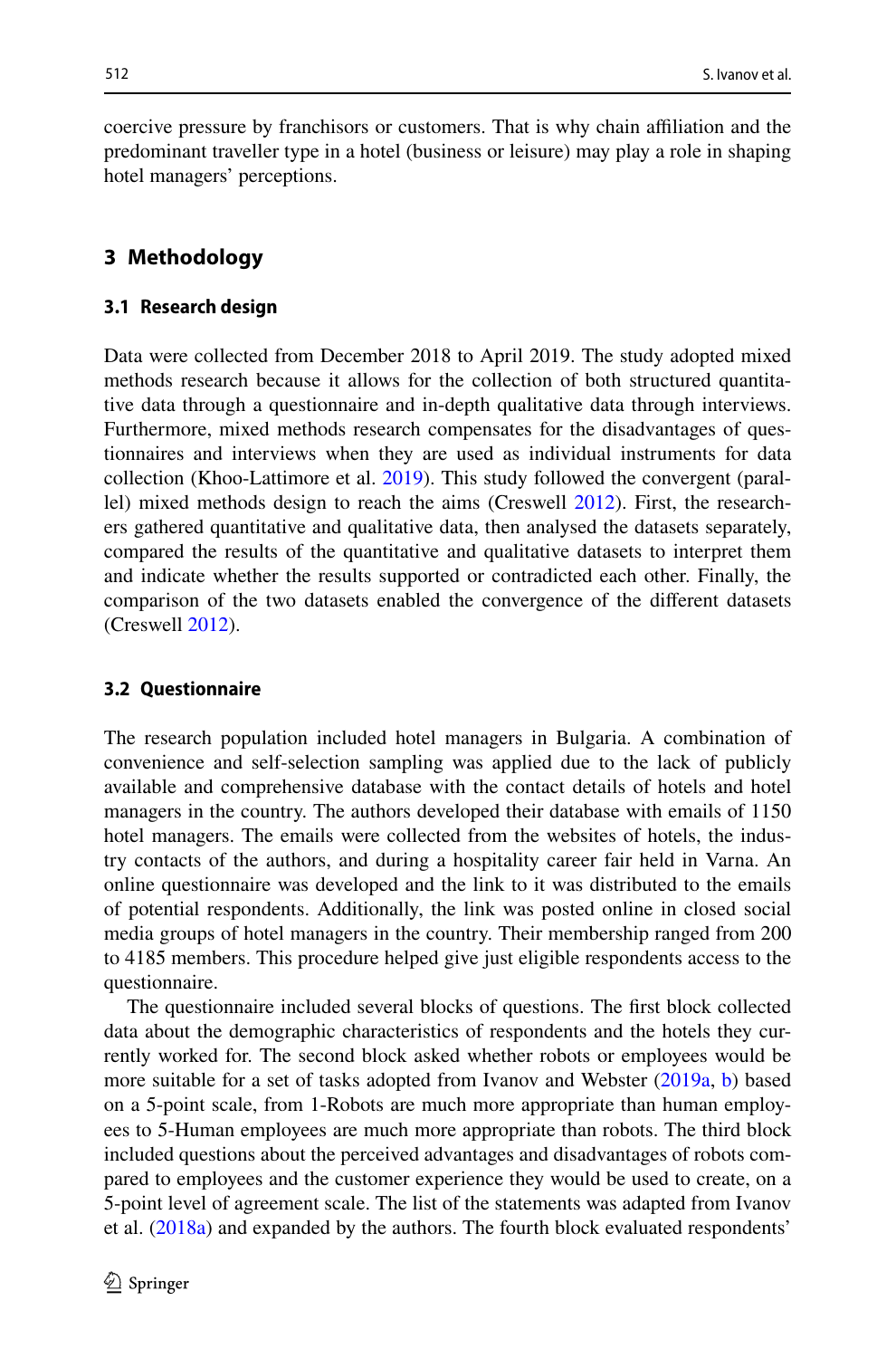coercive pressure by franchisors or customers. That is why chain afliation and the predominant traveller type in a hotel (business or leisure) may play a role in shaping hotel managers' perceptions.

# <span id="page-7-0"></span>**3 Methodology**

#### **3.1 Research design**

Data were collected from December 2018 to April 2019. The study adopted mixed methods research because it allows for the collection of both structured quantitative data through a questionnaire and in-depth qualitative data through interviews. Furthermore, mixed methods research compensates for the disadvantages of questionnaires and interviews when they are used as individual instruments for data collection (Khoo-Lattimore et al. [2019\)](#page-28-17). This study followed the convergent (parallel) mixed methods design to reach the aims (Creswell [2012\)](#page-26-9). First, the researchers gathered quantitative and qualitative data, then analysed the datasets separately, compared the results of the quantitative and qualitative datasets to interpret them and indicate whether the results supported or contradicted each other. Finally, the comparison of the two datasets enabled the convergence of the diferent datasets (Creswell [2012](#page-26-9)).

#### <span id="page-7-1"></span>**3.2 Questionnaire**

The research population included hotel managers in Bulgaria. A combination of convenience and self-selection sampling was applied due to the lack of publicly available and comprehensive database with the contact details of hotels and hotel managers in the country. The authors developed their database with emails of 1150 hotel managers. The emails were collected from the websites of hotels, the industry contacts of the authors, and during a hospitality career fair held in Varna. An online questionnaire was developed and the link to it was distributed to the emails of potential respondents. Additionally, the link was posted online in closed social media groups of hotel managers in the country. Their membership ranged from 200 to 4185 members. This procedure helped give just eligible respondents access to the questionnaire.

The questionnaire included several blocks of questions. The frst block collected data about the demographic characteristics of respondents and the hotels they currently worked for. The second block asked whether robots or employees would be more suitable for a set of tasks adopted from Ivanov and Webster [\(2019a,](#page-27-8) [b](#page-27-9)) based on a 5-point scale, from 1-Robots are much more appropriate than human employees to 5-Human employees are much more appropriate than robots. The third block included questions about the perceived advantages and disadvantages of robots compared to employees and the customer experience they would be used to create, on a 5-point level of agreement scale. The list of the statements was adapted from Ivanov et al. ([2018a\)](#page-28-9) and expanded by the authors. The fourth block evaluated respondents'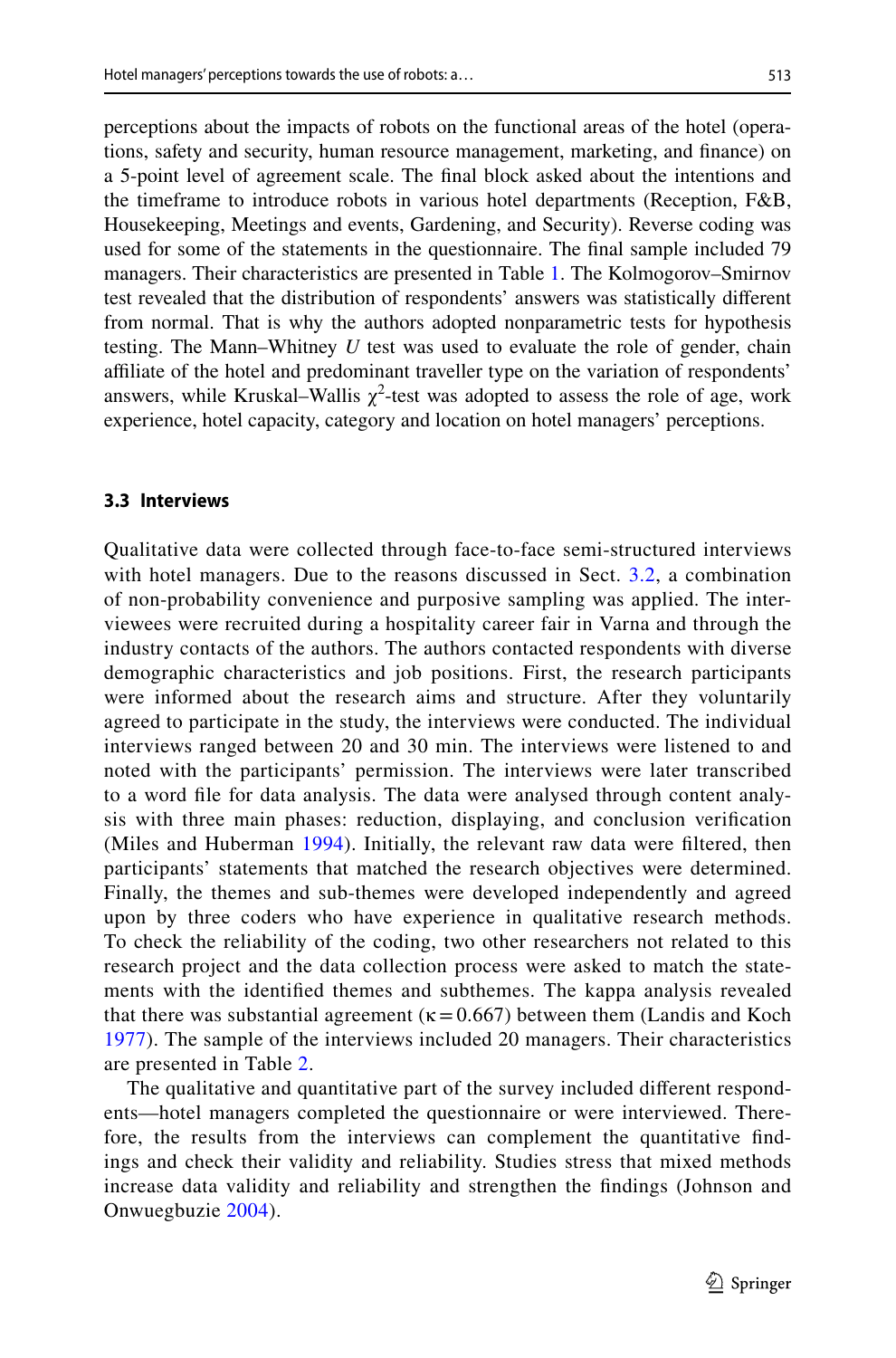perceptions about the impacts of robots on the functional areas of the hotel (operations, safety and security, human resource management, marketing, and fnance) on a 5-point level of agreement scale. The fnal block asked about the intentions and the timeframe to introduce robots in various hotel departments (Reception, F&B, Housekeeping, Meetings and events, Gardening, and Security). Reverse coding was used for some of the statements in the questionnaire. The fnal sample included 79 managers. Their characteristics are presented in Table [1.](#page-9-0) The Kolmogorov–Smirnov test revealed that the distribution of respondents' answers was statistically diferent from normal. That is why the authors adopted nonparametric tests for hypothesis testing. The Mann–Whitney *U* test was used to evaluate the role of gender, chain affiliate of the hotel and predominant traveller type on the variation of respondents' answers, while Kruskal–Wallis  $\chi^2$ -test was adopted to assess the role of age, work experience, hotel capacity, category and location on hotel managers' perceptions.

#### **3.3 Interviews**

Qualitative data were collected through face-to-face semi-structured interviews with hotel managers. Due to the reasons discussed in Sect. [3.2,](#page-7-1) a combination of non-probability convenience and purposive sampling was applied. The interviewees were recruited during a hospitality career fair in Varna and through the industry contacts of the authors. The authors contacted respondents with diverse demographic characteristics and job positions. First, the research participants were informed about the research aims and structure. After they voluntarily agreed to participate in the study, the interviews were conducted. The individual interviews ranged between 20 and 30 min. The interviews were listened to and noted with the participants' permission. The interviews were later transcribed to a word fle for data analysis. The data were analysed through content analysis with three main phases: reduction, displaying, and conclusion verifcation (Miles and Huberman [1994\)](#page-28-18). Initially, the relevant raw data were fltered, then participants' statements that matched the research objectives were determined. Finally, the themes and sub-themes were developed independently and agreed upon by three coders who have experience in qualitative research methods. To check the reliability of the coding, two other researchers not related to this research project and the data collection process were asked to match the statements with the identifed themes and subthemes. The kappa analysis revealed that there was substantial agreement ( $\kappa$  = 0.667) between them (Landis and Koch [1977\)](#page-28-19). The sample of the interviews included 20 managers. Their characteristics are presented in Table [2](#page-10-1).

The qualitative and quantitative part of the survey included diferent respondents—hotel managers completed the questionnaire or were interviewed. Therefore, the results from the interviews can complement the quantitative fndings and check their validity and reliability. Studies stress that mixed methods increase data validity and reliability and strengthen the fndings (Johnson and Onwuegbuzie [2004\)](#page-28-20).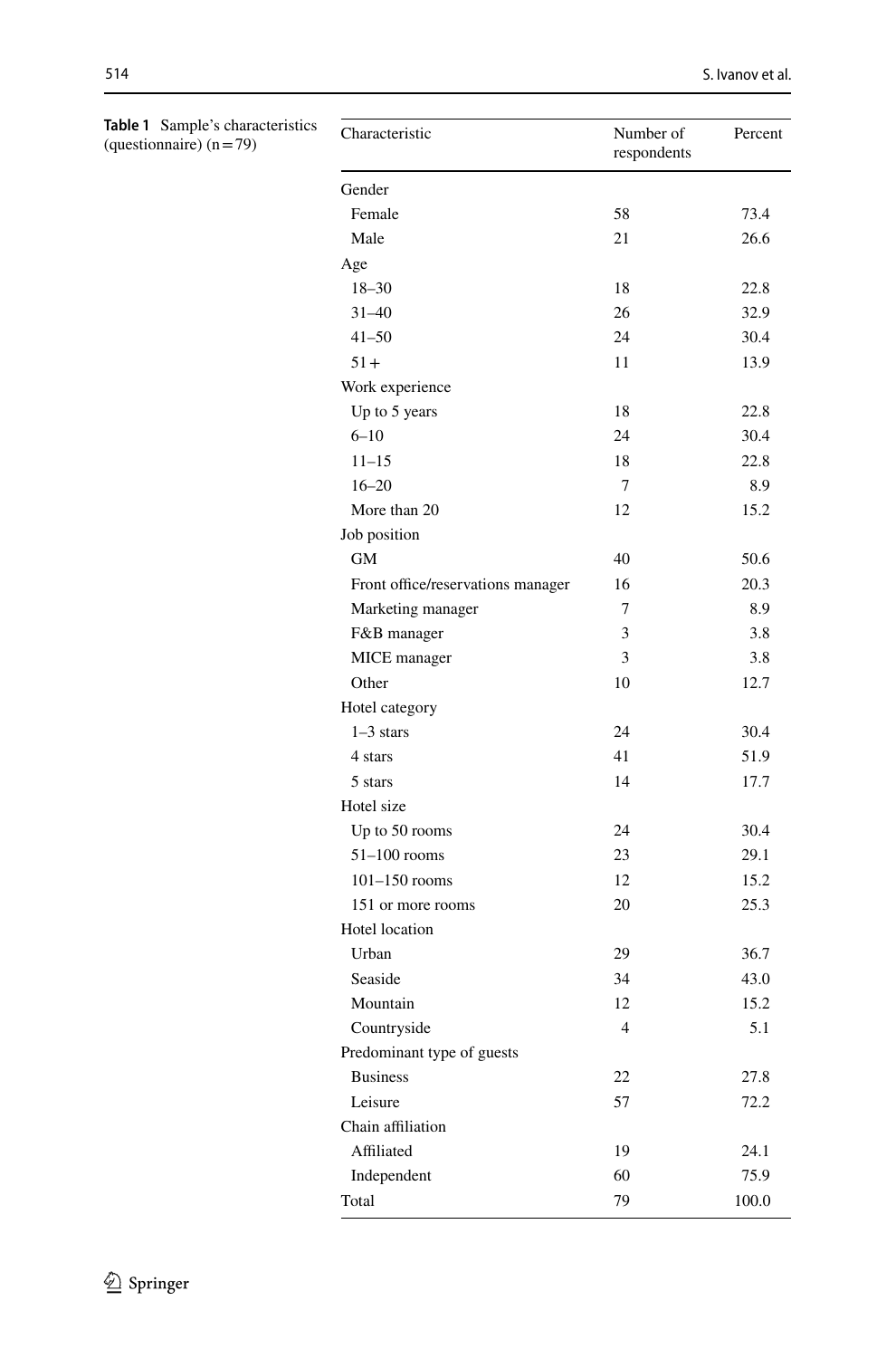| Characteristic                    | Number of<br>respondents | Percent |
|-----------------------------------|--------------------------|---------|
| Gender                            |                          |         |
| Female                            | 58                       | 73.4    |
| Male                              | 21                       | 26.6    |
| Age                               |                          |         |
| $18 - 30$                         | 18                       | 22.8    |
| $31 - 40$                         | 26                       | 32.9    |
| $41 - 50$                         | 24                       | 30.4    |
| $51+$                             | 11                       | 13.9    |
| Work experience                   |                          |         |
| Up to 5 years                     | 18                       | 22.8    |
| $6 - 10$                          | 24                       | 30.4    |
| $11 - 15$                         | 18                       | 22.8    |
| $16 - 20$                         | 7                        | 8.9     |
| More than 20                      | 12                       | 15.2    |
| Job position                      |                          |         |
| <b>GM</b>                         | 40                       | 50.6    |
| Front office/reservations manager | 16                       | 20.3    |
| Marketing manager                 | 7                        | 8.9     |
| F&B manager                       | 3                        | 3.8     |
| MICE manager                      | 3                        | 3.8     |
| Other                             | 10                       | 12.7    |
| Hotel category                    |                          |         |
| $1-3$ stars                       | 24                       | 30.4    |
| 4 stars                           | 41                       | 51.9    |
| 5 stars                           | 14                       | 17.7    |
| Hotel size                        |                          |         |
| Up to 50 rooms                    | 24                       | 30.4    |
| $51-100$ rooms                    | 23                       | 29.1    |
| $101-150$ rooms                   | 12                       | 15.2    |
| 151 or more rooms                 | 20                       | 25.3    |
| Hotel location                    |                          |         |
| Urban                             | 29                       | 36.7    |
| Seaside                           | 34                       | 43.0    |
| Mountain                          | 12                       | 15.2    |
| Countryside                       | $\overline{4}$           | 5.1     |
| Predominant type of guests        |                          |         |
| <b>Business</b>                   | 22                       | 27.8    |
| Leisure                           | 57                       | 72.2    |
| Chain affiliation                 |                          |         |
| Affiliated                        | 19                       | 24.1    |
| Independent                       | 60                       | 75.9    |
| Total                             | 79                       | 100.0   |

<span id="page-9-0"></span>**Table 1** Sample's characteristics (questionnaire) (n=79)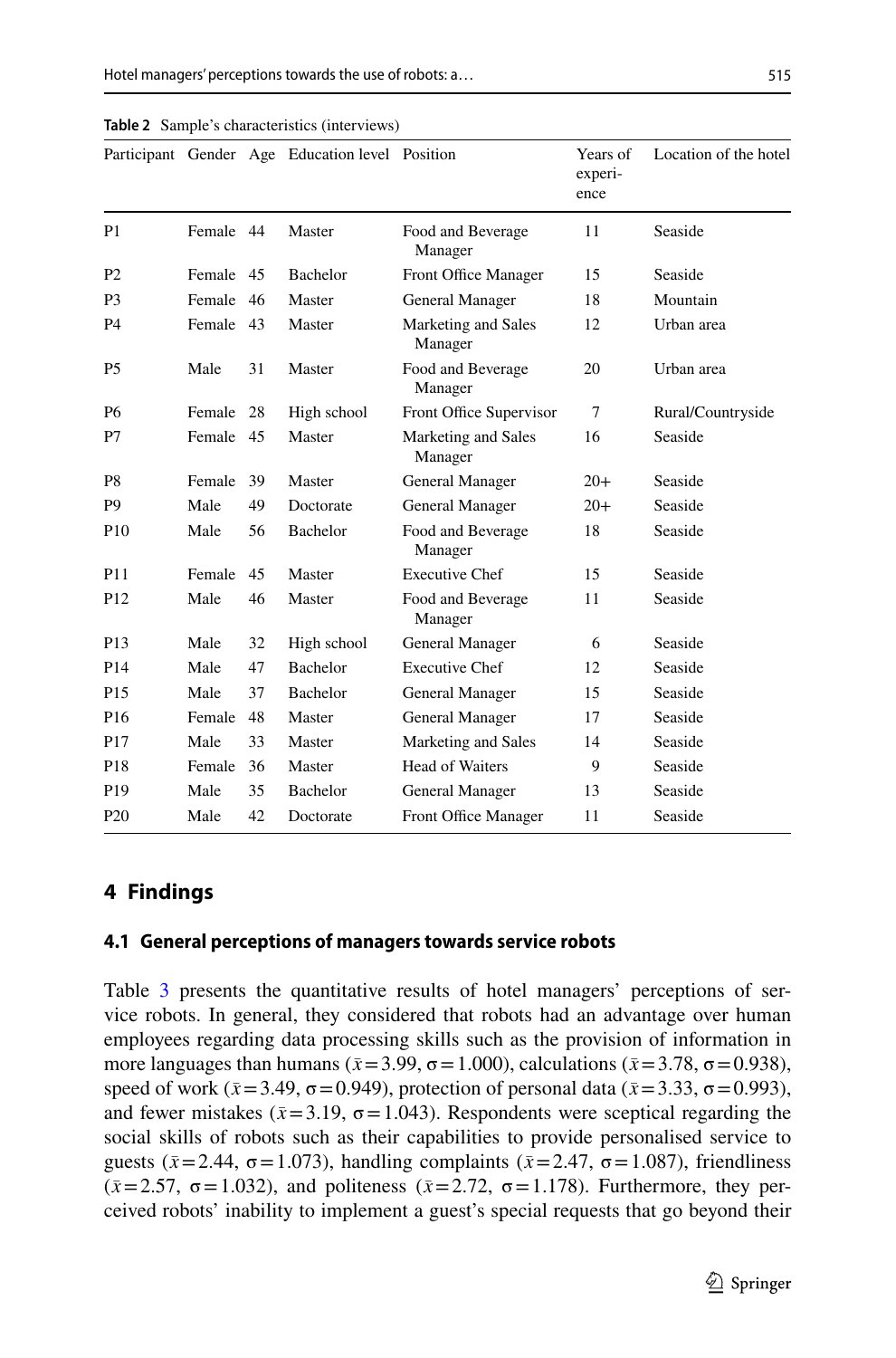|                 |           |    | Participant Gender Age Education level Position |                                | Years of<br>experi-<br>ence | Location of the hotel |
|-----------------|-----------|----|-------------------------------------------------|--------------------------------|-----------------------------|-----------------------|
| P <sub>1</sub>  | Female 44 |    | Master                                          | Food and Beverage<br>Manager   | 11                          | Seaside               |
| P <sub>2</sub>  | Female 45 |    | <b>Bachelor</b>                                 | Front Office Manager           | 15                          | Seaside               |
| P <sub>3</sub>  | Female    | 46 | Master                                          | General Manager                | 18                          | Mountain              |
| P4              | Female 43 |    | Master                                          | Marketing and Sales<br>Manager | 12                          | Urban area            |
| P <sub>5</sub>  | Male      | 31 | Master                                          | Food and Beverage<br>Manager   | 20                          | Urban area            |
| P6              | Female    | 28 | High school                                     | Front Office Supervisor        | 7                           | Rural/Countryside     |
| P7              | Female 45 |    | Master                                          | Marketing and Sales<br>Manager | 16                          | Seaside               |
| P8              | Female    | 39 | Master                                          | General Manager                | $20+$                       | Seaside               |
| P <sub>9</sub>  | Male      | 49 | Doctorate                                       | General Manager                | $20+$                       | Seaside               |
| P <sub>10</sub> | Male      | 56 | Bachelor                                        | Food and Beverage<br>Manager   | 18                          | Seaside               |
| P11             | Female    | 45 | Master                                          | <b>Executive Chef</b>          | 15                          | Seaside               |
| P <sub>12</sub> | Male      | 46 | Master                                          | Food and Beverage<br>Manager   | 11                          | Seaside               |
| P <sub>13</sub> | Male      | 32 | High school                                     | General Manager                | 6                           | Seaside               |
| P <sub>14</sub> | Male      | 47 | <b>Bachelor</b>                                 | <b>Executive Chef</b>          | 12                          | Seaside               |
| P <sub>15</sub> | Male      | 37 | Bachelor                                        | General Manager                | 15                          | Seaside               |
| P <sub>16</sub> | Female    | 48 | Master                                          | General Manager                | 17                          | Seaside               |
| P <sub>17</sub> | Male      | 33 | Master                                          | Marketing and Sales            | 14                          | Seaside               |
| P <sub>18</sub> | Female    | 36 | Master                                          | Head of Waiters                | 9                           | Seaside               |
| P <sub>19</sub> | Male      | 35 | <b>Bachelor</b>                                 | General Manager                | 13                          | Seaside               |
| P <sub>20</sub> | Male      | 42 | Doctorate                                       | Front Office Manager           | 11                          | Seaside               |

<span id="page-10-1"></span>**Table 2** Sample's characteristics (interviews)

# <span id="page-10-0"></span>**4 Findings**

#### **4.1 General perceptions of managers towards service robots**

Table [3](#page-11-0) presents the quantitative results of hotel managers' perceptions of service robots. In general, they considered that robots had an advantage over human employees regarding data processing skills such as the provision of information in more languages than humans ( $\bar{x}$  = 3.99,  $\sigma$  = 1.000), calculations ( $\bar{x}$  = 3.78,  $\sigma$  = 0.938), speed of work ( $\bar{x}$  = 3.49,  $\sigma$  = 0.949), protection of personal data ( $\bar{x}$  = 3.33,  $\sigma$  = 0.993), and fewer mistakes ( $\bar{x}$ =3.19,  $\sigma$ =1.043). Respondents were sceptical regarding the social skills of robots such as their capabilities to provide personalised service to guests ( $\bar{x}$ =2.44,  $\sigma$ =1.073), handling complaints ( $\bar{x}$ =2.47,  $\sigma$ =1.087), friendliness ( $\bar{x}$ =2.57,  $\sigma$ =1.032), and politeness ( $\bar{x}$ =2.72,  $\sigma$ =1.178). Furthermore, they perceived robots' inability to implement a guest's special requests that go beyond their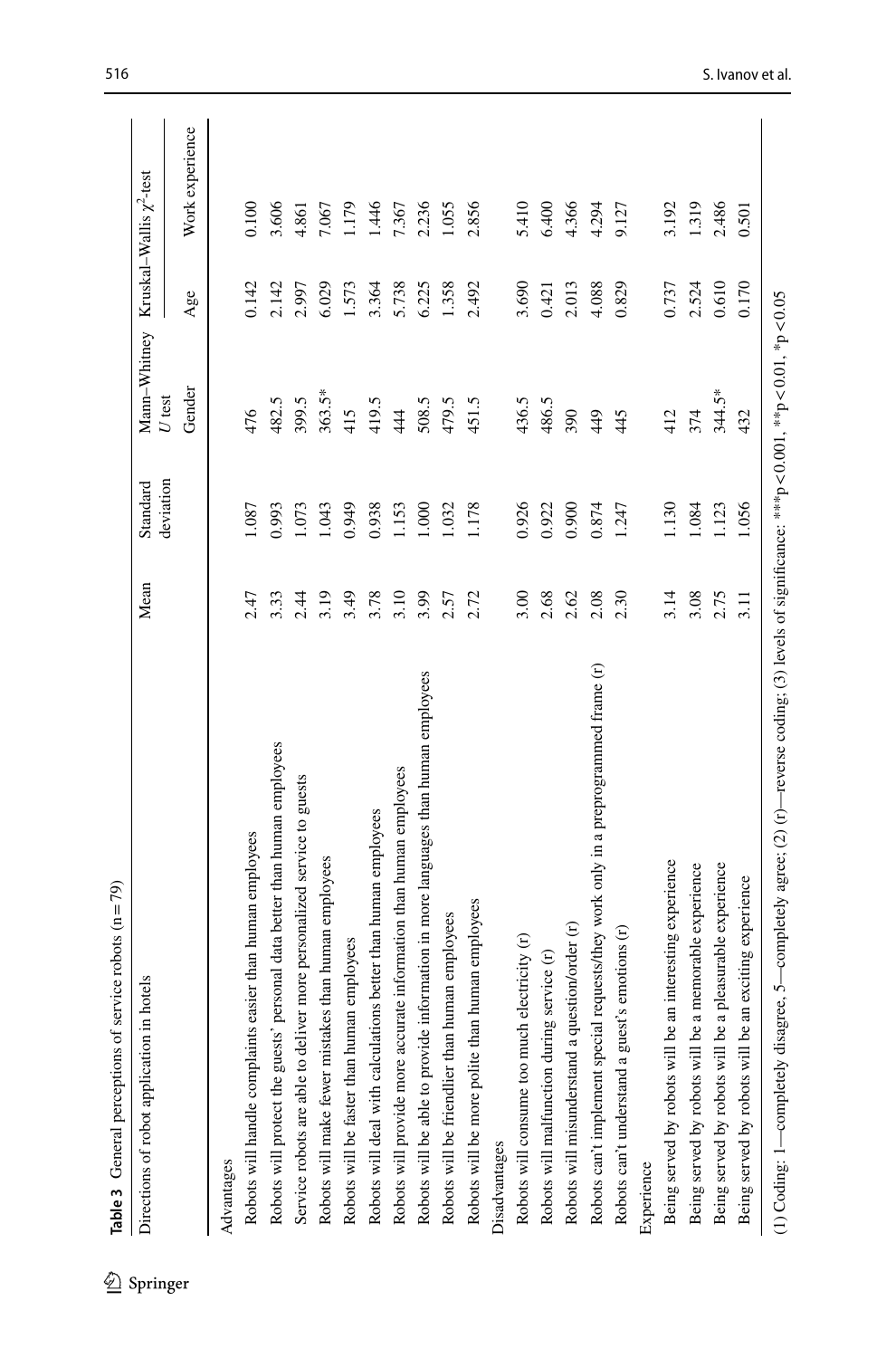<span id="page-11-0"></span>

| n hotels<br>Directions of robot application                                         | Mean | deviation<br>Standard | Mann-Whitney<br>$U$ test |       | Kruskal–Wallis $\chi^2$ -test |
|-------------------------------------------------------------------------------------|------|-----------------------|--------------------------|-------|-------------------------------|
|                                                                                     |      |                       | Gender                   | Age   | Work experience               |
| Advantages                                                                          |      |                       |                          |       |                               |
| easier than human employees<br>Robots will handle complaints                        | 2.47 | 1.087                 | 476                      | 0.142 | 0.100                         |
| personal data better than human employees<br>Robots will protect the guests'        | 3.33 | 0.993                 | 482.5                    | 2.142 | 3.606                         |
| ver more personalized service to guests<br>Service robots are able to deliv         | 2.44 | 1.073                 | 399.5                    | 2.997 | 4.861                         |
| Robots will make fewer mistakes than human employees                                | 3.19 | 1.043                 | 363.5*                   | 6.029 | 7.067                         |
| Robots will be faster than human employees                                          | 3.49 | 0.949                 | 415                      | 1.573 | 1.179                         |
| Robots will deal with calculations better than human employees                      | 3.78 | 0.938                 | 419.5                    | 3.364 | 1.446                         |
| Robots will provide more accurate information than human employees                  | 3.10 | 1.153                 | 444                      | 5.738 | 7.367                         |
| Robots will be able to provide information in more languages than human employees   | 3.99 | 1.000                 | 508.5                    | 6.225 | 2.236                         |
| Robots will be friendlier than human employees                                      | 2.57 | 1.032                 | 479.5                    | 1.358 | 1.055                         |
| Robots will be more polite than human employees                                     | 2.72 | 1.178                 | 451.5                    | 2.492 | 2.856                         |
| Disadvantages                                                                       |      |                       |                          |       |                               |
| Robots will consume too much electricity (r)                                        | 3.00 | 0.926                 | 436.5                    | 3.690 | 5.410                         |
| Robots will malfunction during service (r)                                          | 2.68 | 0.922                 | 486.5                    | 0.421 | 6.400                         |
| Robots will misunderstand a question/order (r)                                      | 2.62 | 0.900                 | 390                      | 2.013 | 4.366                         |
| Robots can't implement special requests/they work only in a preprogrammed frame (r) | 2.08 | 0.874                 | 449                      | 4.088 | 4.294                         |
| Robots can't understand a guest's emotions (r)                                      | 2.30 | 1.247                 | 445                      | 0.829 | 9.127                         |
| Experience                                                                          |      |                       |                          |       |                               |
| an interesting experience<br>Being served by robots will be                         | 3.14 | 1.130                 | 412                      | 0.737 | 3.192                         |
| a memorable experience<br>Being served by robots will be                            | 3.08 | 1.084                 | 374                      | 2.524 | 1.319                         |
| a pleasurable experience<br>Being served by robots will be                          | 2.75 | 1.123                 | 344.5*                   | 0.610 | 2.486                         |
| an exciting experience<br>Being served by robots will be                            | 3.11 | 1.056                 | 432                      | 0.170 | 0.501                         |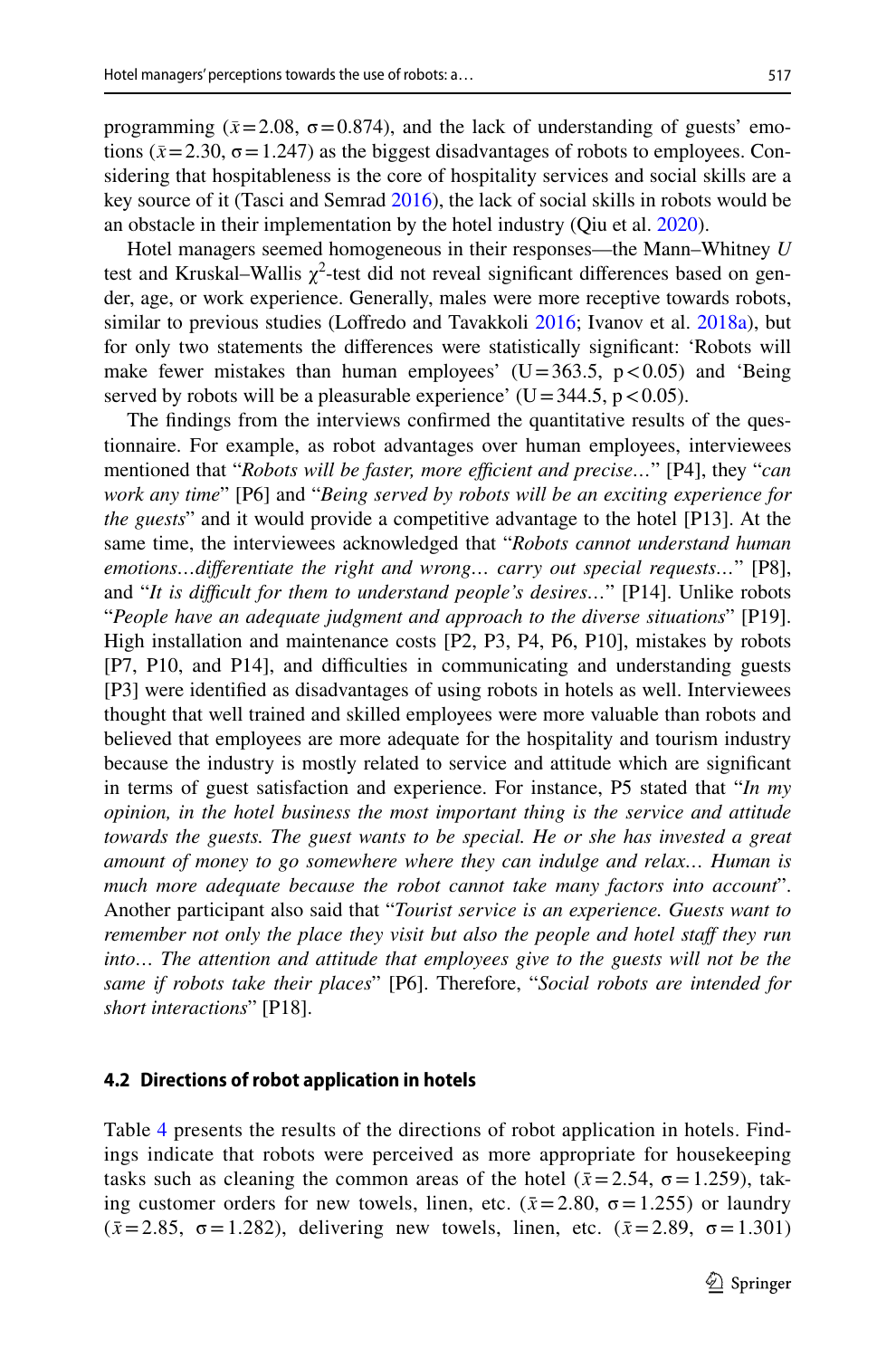programming ( $\bar{x}$ =2.08,  $\sigma$ =0.874), and the lack of understanding of guests' emotions ( $\bar{x}$ =2.30,  $\sigma$  = 1.247) as the biggest disadvantages of robots to employees. Considering that hospitableness is the core of hospitality services and social skills are a key source of it (Tasci and Semrad [2016\)](#page-29-24), the lack of social skills in robots would be an obstacle in their implementation by the hotel industry (Qiu et al. [2020](#page-29-14)).

Hotel managers seemed homogeneous in their responses—the Mann–Whitney *U* test and Kruskal–Wallis  $\chi^2$ -test did not reveal significant differences based on gender, age, or work experience. Generally, males were more receptive towards robots, similar to previous studies (Lofredo and Tavakkoli [2016;](#page-28-16) Ivanov et al. [2018a\)](#page-28-9), but for only two statements the diferences were statistically signifcant: 'Robots will make fewer mistakes than human employees'  $(U=363.5, p<0.05)$  and 'Being served by robots will be a pleasurable experience'  $(U=344.5, p<0.05)$ .

The fndings from the interviews confrmed the quantitative results of the questionnaire. For example, as robot advantages over human employees, interviewees mentioned that "*Robots will be faster, more efficient and precise...*" [P4], they "*can work any time*" [P6] and "*Being served by robots will be an exciting experience for the guests*" and it would provide a competitive advantage to the hotel [P13]. At the same time, the interviewees acknowledged that "*Robots cannot understand human emotions…diferentiate the right and wrong… carry out special requests…*" [P8], and "*It is difcult for them to understand people's desires…*" [P14]. Unlike robots "*People have an adequate judgment and approach to the diverse situations*" [P19]. High installation and maintenance costs [P2, P3, P4, P6, P10], mistakes by robots [P7, P10, and P14], and difculties in communicating and understanding guests [P3] were identifed as disadvantages of using robots in hotels as well. Interviewees thought that well trained and skilled employees were more valuable than robots and believed that employees are more adequate for the hospitality and tourism industry because the industry is mostly related to service and attitude which are signifcant in terms of guest satisfaction and experience. For instance, P5 stated that "*In my opinion, in the hotel business the most important thing is the service and attitude towards the guests. The guest wants to be special. He or she has invested a great amount of money to go somewhere where they can indulge and relax… Human is much more adequate because the robot cannot take many factors into account*". Another participant also said that "*Tourist service is an experience. Guests want to remember not only the place they visit but also the people and hotel staff they run into... The attention and attitude that employees give to the guests will not be the same if robots take their places*" [P6]. Therefore, "*Social robots are intended for short interactions*" [P18].

#### **4.2 Directions of robot application in hotels**

Table [4](#page-13-0) presents the results of the directions of robot application in hotels. Findings indicate that robots were perceived as more appropriate for housekeeping tasks such as cleaning the common areas of the hotel ( $\bar{x}$ =2.54,  $\sigma$ =1.259), taking customer orders for new towels, linen, etc. ( $\bar{x}$ =2.80,  $\sigma$ =1.255) or laundry ( $\bar{x}$  = 2.85, σ = 1.282), delivering new towels, linen, etc. ( $\bar{x}$  = 2.89, σ = 1.301)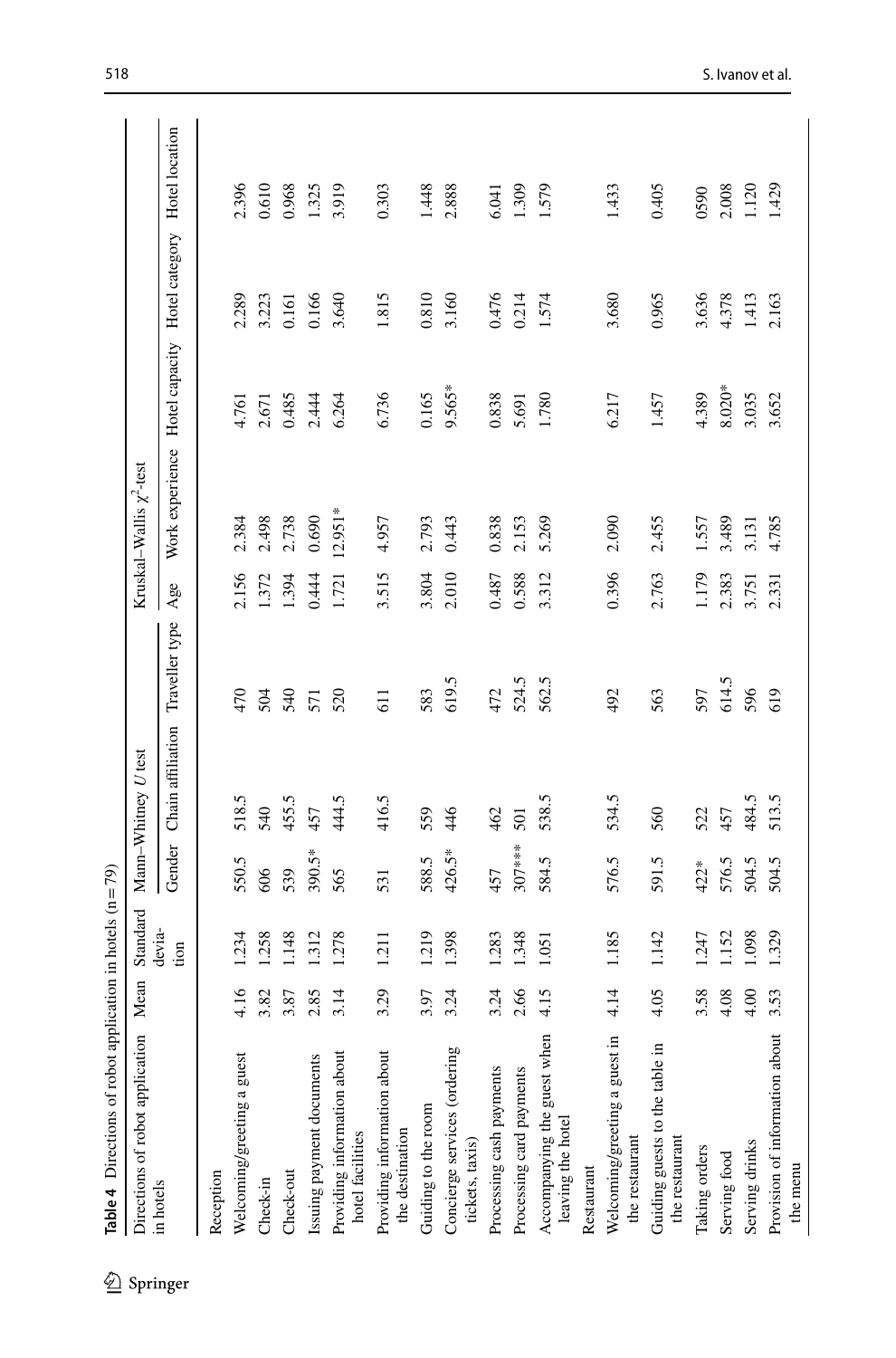| í<br>l<br>î<br>۱           |
|----------------------------|
| -<br>-<br>-<br>-<br>-<br>î |
| -----<br>ļ                 |
| .<br>.<br>.                |
| I<br>ì<br>$\overline{a}$   |
| ۱<br>Φ                     |

| Table 4 Directions of robot application in hote |              |  |
|-------------------------------------------------|--------------|--|
| Directions of robot application                 | $Mcon$ Stand |  |

<span id="page-13-0"></span> $\mathcal{L}$  Springer

| Directions of robot application                  | Mean | Standard       |          | Mann-Whitney U test |                |       | Kruskal–Wallis $\chi^2$ -test |                |                               |       |
|--------------------------------------------------|------|----------------|----------|---------------------|----------------|-------|-------------------------------|----------------|-------------------------------|-------|
| in hotels                                        |      | devia-<br>tion | Gender   | Chain affiliation   | Traveller type | Age   | Work experience               | Hotel capacity | Hotel category Hotel location |       |
| Reception                                        |      |                |          |                     |                |       |                               |                |                               |       |
| Welcoming/greeting a guest                       | 4.16 | 1.234          | 550.5    | 518.5               | 470            | 2.156 | 2.384                         | 4.761          | 2.289                         | 2.396 |
| Check-in                                         | 3.82 | .258           | 606      | 540                 | 504            | 1.372 | 2.498                         | 2.671          | 3.223                         | 0.610 |
| Check-out                                        | 3.87 | 1.148          | 539      | 455.5               | 540            | 1.394 | 2.738                         | 0.485          | 0.161                         | 0.968 |
| Issuing payment documents                        | 2.85 | 1.312          | 390.5*   | 457                 | 571            | 0.444 | 0.690                         | 2.444          | 0.166                         | 1.325 |
| Providing information about<br>hotel facilities  | 3.14 | 1.278          | 565      | 444.5               | 520            | 1.721 | $12.951*$                     | 6.264          | 3.640                         | 3.919 |
| Providing information about<br>the destination   | 3.29 | 1.211          | 531      | 416.5               | 611            | 3.515 | 4.957                         | 6.736          | 1.815                         | 0.303 |
| Guiding to the room                              | 3.97 | 1.219          | 588.5    | 559                 | 583            | 3.804 | 2.793                         | 0.165          | 0.810                         | 1.448 |
| Concierge services (ordering<br>tickets, taxis)  | 3.24 | 1.398          | 426.5*   | 46                  | 619.5          | 2.010 | 0.443                         | 9.565*         | 3.160                         | 2.888 |
| Processing cash payments                         | 3.24 | 1.283          | 457      | 462                 | 472            | 0.487 | 0.838                         | 0.838          | 0.476                         | 6.041 |
| Processing card payments                         | 2.66 | 1.348          | $307***$ | 501                 | 524.5          | 0.588 | 2.153                         | 5.691          | 0.214                         | 1.309 |
| Accompanying the guest when<br>leaving the hotel | 4.15 | 1.051          | 584.5    | 538.5               | 562.5          | 3.312 | 5.269                         | 1.780          | 1.574                         | 1.579 |
| Restaurant                                       |      |                |          |                     |                |       |                               |                |                               |       |
| Welcoming/greeting a guest in<br>the restaurant  | 4.14 | 1.185          | 576.5    | 534.5               | 492            | 0.396 | 2.090                         | 6.217          | 3.680                         | 1.433 |
| Guiding guests to the table in<br>the restaurant | 4.05 | 1.142          | 591.5    | 560                 | 563            | 2.763 | 2.455                         | 1.457          | 0.965                         | 0.405 |
| Taking orders                                    | 3.58 | 1.247          | 422*     | 522                 | 597            | 1.179 | 1.557                         | 4.389          | 3.636                         | 0590  |
| Serving food                                     | 4.08 | 1.152          | 576.5    | 457                 | 614.5          | 2.383 | 3.489                         | $8.020*$       | 4.378                         | 2.008 |
| Serving drinks                                   | 4.00 | 1.098          | 504.5    | 484.5               | 596            | 3.751 | 3.131                         | 3.035          | 1.413                         | 1.120 |
| Provision of information about<br>the menu       | 3.53 | 1.329          | 504.5    | 513.5               | 619            | 2.331 | 4.785                         | 3.652          | 2.163                         | 1.429 |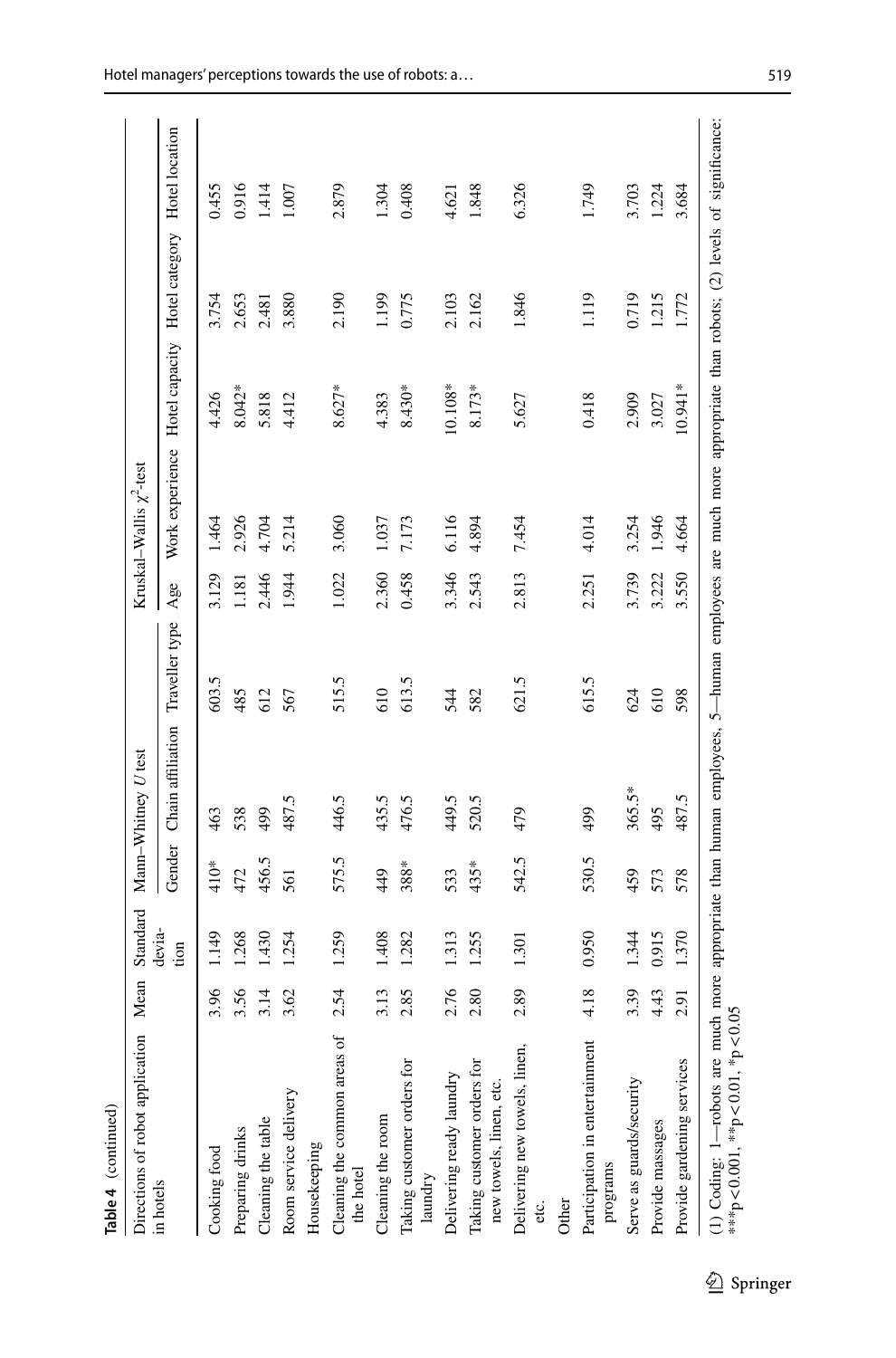| ١       |  |
|---------|--|
| ٦<br>'n |  |

| Directions of robot application                                                                                                                                                            | Mean | Standard       |        | Mann-Whitney U test              |       |       | Kruskal–Wallis $\chi^2$ -test                                |           |       |       |
|--------------------------------------------------------------------------------------------------------------------------------------------------------------------------------------------|------|----------------|--------|----------------------------------|-------|-------|--------------------------------------------------------------|-----------|-------|-------|
| in hotels                                                                                                                                                                                  |      | devia-<br>tion | Gender | Chain affiliation Traveller type |       | Age   | Work experience Hotel capacity Hotel category Hotel location |           |       |       |
| Cooking food                                                                                                                                                                               | 3.96 | 149            | $410*$ | 463                              | 603.5 | 3.129 | 1.464                                                        | 4.426     | 3.754 | 0.455 |
| Preparing drinks                                                                                                                                                                           | 3.56 | .268           | 472    | 538                              | 485   | 181   | 2.926                                                        | 8.042*    | 2.653 | 0.916 |
| Cleaning the table                                                                                                                                                                         | 3.14 | 430            | 456.5  | 499                              | 612   | 2.446 | 4.704                                                        | 5.818     | 2.481 | 1.414 |
| Room service delivery                                                                                                                                                                      | 3.62 | 1.254          | 561    | 487.5                            | 567   | 1.944 | 5.214                                                        | 4.412     | 3.880 | 1.007 |
| Housekeeping                                                                                                                                                                               |      |                |        |                                  |       |       |                                                              |           |       |       |
| Cleaning the common areas of<br>the hotel                                                                                                                                                  | 2.54 | 1.259          | 575.5  | 446.5                            | 515.5 | 1.022 | 3.060                                                        | $8.627*$  | 2.190 | 2.879 |
| Cleaning the room                                                                                                                                                                          | 3.13 | 408            | 449    | 435.5                            | 610   | 2.360 | 1.037                                                        | 4.383     | 1.199 | 1.304 |
| Taking customer orders for<br>laundry                                                                                                                                                      | 2.85 | 1.282          | 388*   | 476.5                            | 613.5 | 0.458 | 7.173                                                        | $8.430*$  | 0.775 | 0.408 |
| Delivering ready laundry                                                                                                                                                                   | 2.76 | 1.313          | 533    | 449.5                            | 544   | 3.346 | 6.116                                                        | $10.108*$ | 2.103 | 4.621 |
| Taking customer orders for<br>new towels, linen, etc.                                                                                                                                      | 2.80 | 1.255          | 435*   | 520.5                            | 582   | 2.543 | 4.894                                                        | $8.173*$  | 2.162 | 1.848 |
| Delivering new towels, linen,<br>etc.                                                                                                                                                      | 2.89 | 1.301          | 542.5  | 479                              | 621.5 | 2.813 | 7.454                                                        | 5.627     | 1.846 | 6.326 |
| Other                                                                                                                                                                                      |      |                |        |                                  |       |       |                                                              |           |       |       |
| Participation in entertainment<br>programs                                                                                                                                                 | 4.18 | 0.950          | 530.5  | 499                              | 615.5 | 2.251 | 4.014                                                        | 0.418     | 1.119 | 1.749 |
| Serve as guards/security                                                                                                                                                                   | 3.39 | 1.344          | 459    | $365.5*$                         | 624   | 3.739 | 3.254                                                        | 2.909     | 0.719 | 3.703 |
| Provide massages                                                                                                                                                                           | 4.43 | 0.915          | 573    | 495                              | 610   | 3.222 | 1.946                                                        | 3.027     | 1.215 | 1.224 |
| Provide gardening services                                                                                                                                                                 | 2.91 | 1.370          | 578    | 487.5                            | 598   | 3.550 | 4.664                                                        | 10.941*   | 1.772 | 3.684 |
| (1) Coding: 1—robots are much more appropriate than human employees, 5—human employees are much more appropriate than robots; (2) levels of significance:<br>***p<0.001, **p<0.01, *p<0.05 |      |                |        |                                  |       |       |                                                              |           |       |       |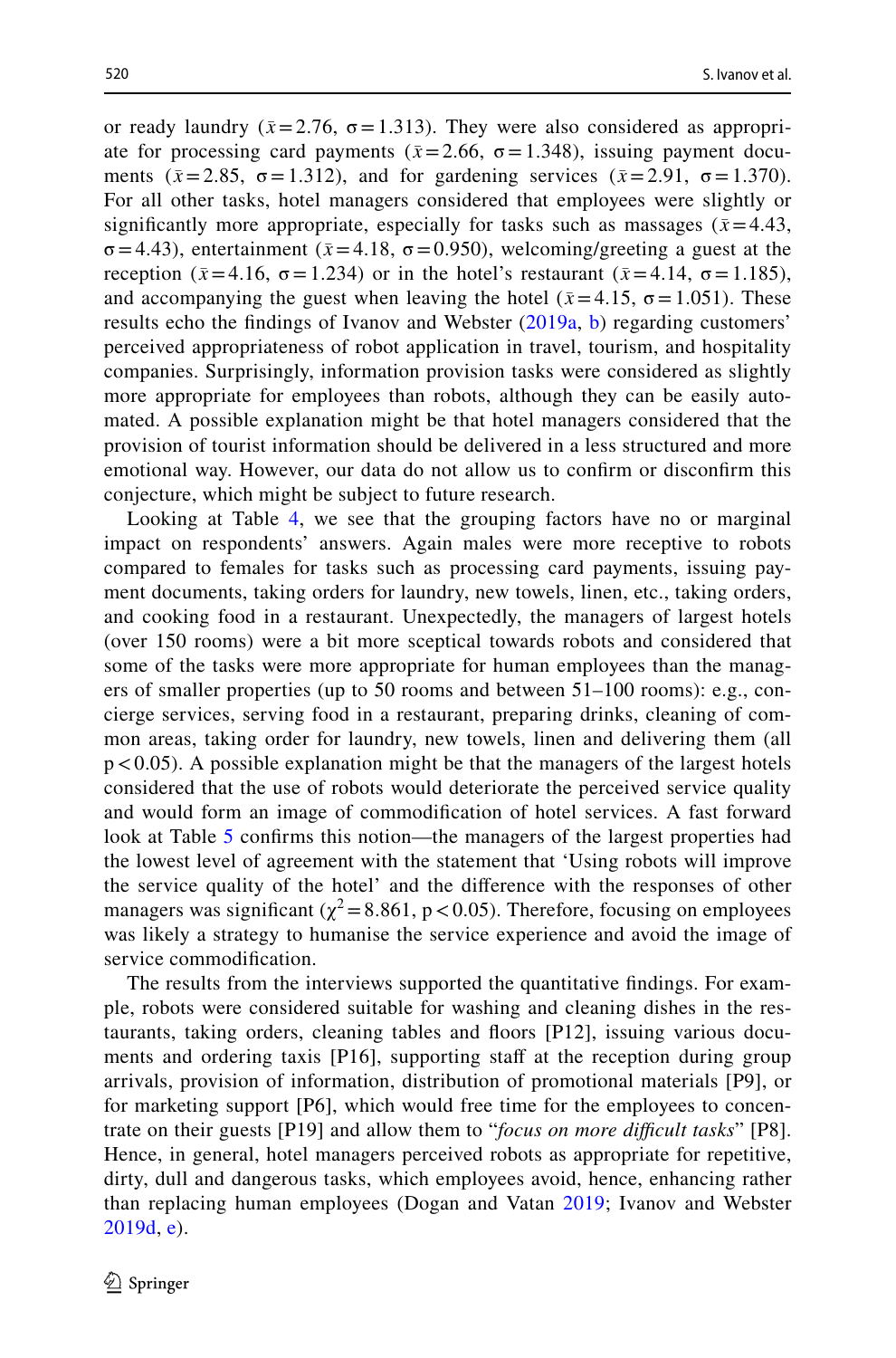or ready laundry ( $\bar{x}$ =2.76,  $\sigma$ =1.313). They were also considered as appropriate for processing card payments ( $\bar{x}$ =2.66,  $\sigma$ =1.348), issuing payment documents ( $\bar{x}$ =2.85,  $\sigma$ =1.312), and for gardening services ( $\bar{x}$ =2.91,  $\sigma$ =1.370). For all other tasks, hotel managers considered that employees were slightly or significantly more appropriate, especially for tasks such as massages ( $\bar{x}$ =4.43,  $\sigma$ =4.43), entertainment ( $\bar{x}$ =4.18,  $\sigma$ =0.950), welcoming/greeting a guest at the reception (*x̄* =4.16, σ=1.234) or in the hotel's restaurant (*x̄* =4.14, σ=1.185), and accompanying the guest when leaving the hotel ( $\bar{x}$ =4.15,  $\sigma$  = 1.051). These results echo the fndings of Ivanov and Webster ([2019a](#page-27-8), [b](#page-27-9)) regarding customers' perceived appropriateness of robot application in travel, tourism, and hospitality companies. Surprisingly, information provision tasks were considered as slightly more appropriate for employees than robots, although they can be easily automated. A possible explanation might be that hotel managers considered that the provision of tourist information should be delivered in a less structured and more emotional way. However, our data do not allow us to confrm or disconfrm this conjecture, which might be subject to future research.

Looking at Table [4,](#page-13-0) we see that the grouping factors have no or marginal impact on respondents' answers. Again males were more receptive to robots compared to females for tasks such as processing card payments, issuing payment documents, taking orders for laundry, new towels, linen, etc., taking orders, and cooking food in a restaurant. Unexpectedly, the managers of largest hotels (over 150 rooms) were a bit more sceptical towards robots and considered that some of the tasks were more appropriate for human employees than the managers of smaller properties (up to 50 rooms and between 51–100 rooms): e.g., concierge services, serving food in a restaurant, preparing drinks, cleaning of common areas, taking order for laundry, new towels, linen and delivering them (all  $p < 0.05$ ). A possible explanation might be that the managers of the largest hotels considered that the use of robots would deteriorate the perceived service quality and would form an image of commodifcation of hotel services. A fast forward look at Table [5](#page-16-0) confrms this notion—the managers of the largest properties had the lowest level of agreement with the statement that 'Using robots will improve the service quality of the hotel' and the diference with the responses of other managers was significant ( $\chi^2$  = 8.861, p < 0.05). Therefore, focusing on employees was likely a strategy to humanise the service experience and avoid the image of service commodifcation.

The results from the interviews supported the quantitative fndings. For example, robots were considered suitable for washing and cleaning dishes in the restaurants, taking orders, cleaning tables and foors [P12], issuing various documents and ordering taxis [P16], supporting staff at the reception during group arrivals, provision of information, distribution of promotional materials [P9], or for marketing support [P6], which would free time for the employees to concentrate on their guests [P19] and allow them to "*focus on more difcult tasks*" [P8]. Hence, in general, hotel managers perceived robots as appropriate for repetitive, dirty, dull and dangerous tasks, which employees avoid, hence, enhancing rather than replacing human employees (Dogan and Vatan [2019;](#page-27-12) Ivanov and Webster [2019d,](#page-27-17) [e\)](#page-27-14).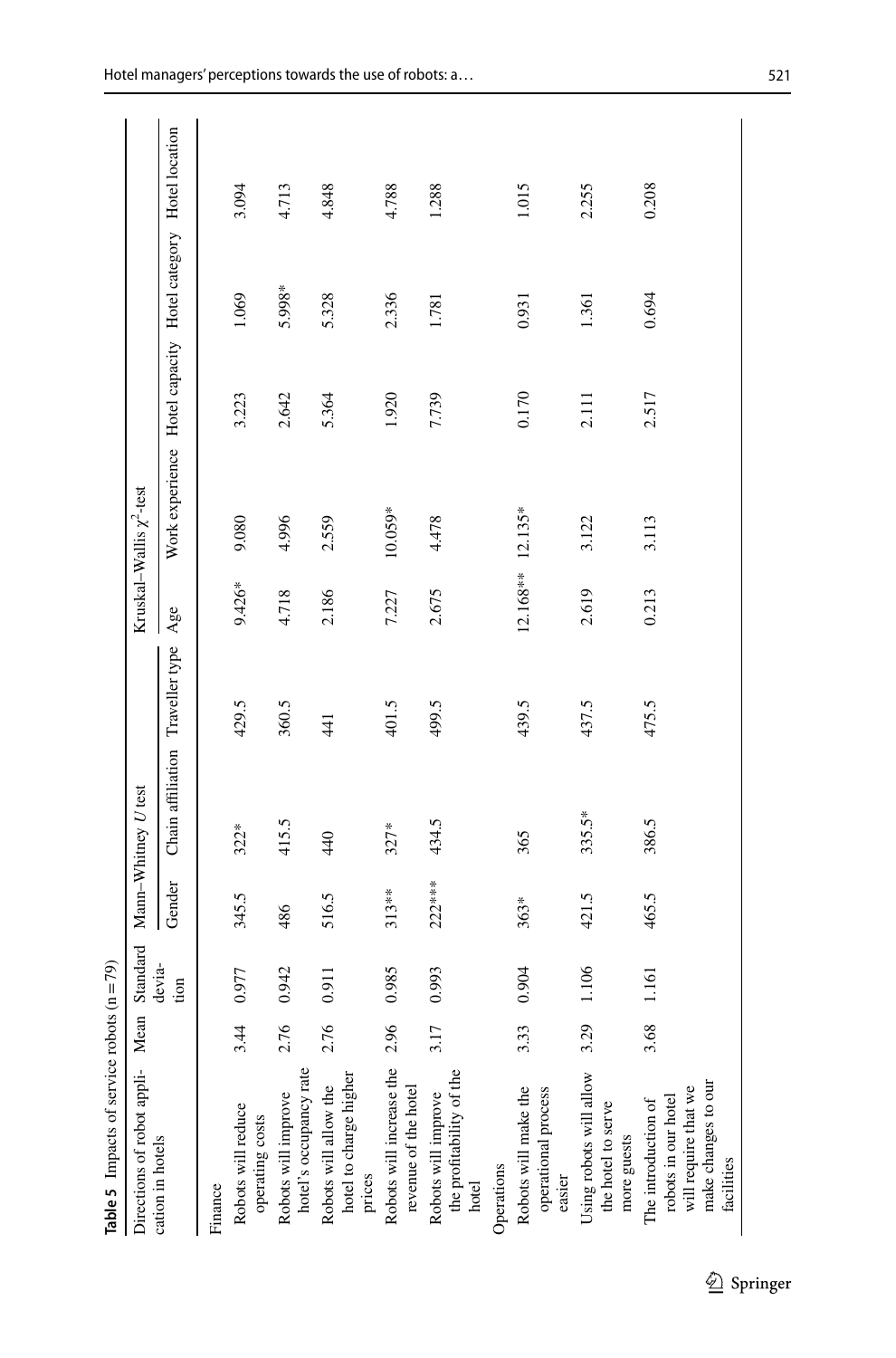| <b>Table 5</b> Impacts of service robots $(n = 79)$                                                     |      |                |          |                                  |       |            |                                                              |       |        |       |
|---------------------------------------------------------------------------------------------------------|------|----------------|----------|----------------------------------|-------|------------|--------------------------------------------------------------|-------|--------|-------|
| Directions of robot appli- Mean                                                                         |      | Standard       |          | Mann-Whitney U test              |       |            | Kruskal–Wallis $\chi^2$ -test                                |       |        |       |
| cation in hotels                                                                                        |      | devia-<br>tion | Gender   | Chain affiliation Traveller type |       | Age        | Work experience Hotel capacity Hotel category Hotel location |       |        |       |
| Finance                                                                                                 |      |                |          |                                  |       |            |                                                              |       |        |       |
| Robots will reduce<br>operating costs                                                                   | 3.44 | 0.977          | 345.5    | $322*$                           | 429.5 | $9.426*$   | 9.080                                                        | 3.223 | 1.069  | 3.094 |
| hotel's occupancy rate<br>Robots will improve                                                           | 2.76 | 0.942          | 486      | 415.5                            | 360.5 | 4.718      | 4.996                                                        | 2.642 | 5.998* | 4.713 |
| $x$ <sup>------y 1 att</sup><br>Robots will allow the<br>hotel to charge higher<br>prices               | 2.76 | 0.911          | 516.5    | 440                              | 441   | 2.186      | 2.559                                                        | 5.364 | 5.328  | 4.848 |
| Robots will increase the<br>revenue of the hotel                                                        | 2.96 | 0.985          | $313***$ | $327*$                           | 401.5 | 7.227      | 10.059*                                                      | 1.920 | 2.336  | 4.788 |
| the profitability of the<br>Robots will improve<br>hotel                                                | 3.17 | 0.993          | $222***$ | 434.5                            | 499.5 | 2.675      | 4.478                                                        | 7.739 | 1.781  | 1.288 |
| Operations                                                                                              |      |                |          |                                  |       |            |                                                              |       |        |       |
| Robots will make the<br>operational process<br>easier                                                   | 3.33 | 0.904          | 363*     | 365                              | 439.5 | $12.168**$ | $12.135*$                                                    | 0.170 | 0.931  | 1.015 |
| Using robots will allow<br>the hotel to serve<br>more guests                                            | 3.29 | 1.106          | 421.5    | 335.5*                           | 437.5 | 2.619      | 3.122                                                        | 2.111 | 1.361  | 2.255 |
| make changes to our<br>will require that we<br>robots in our hotel<br>The introduction of<br>facilities | 3.68 | 1.161          | 465.5    | 386.5                            | 475.5 | 0.213      | 3.113                                                        | 2.517 | 0.694  | 0.208 |

<span id="page-16-0"></span>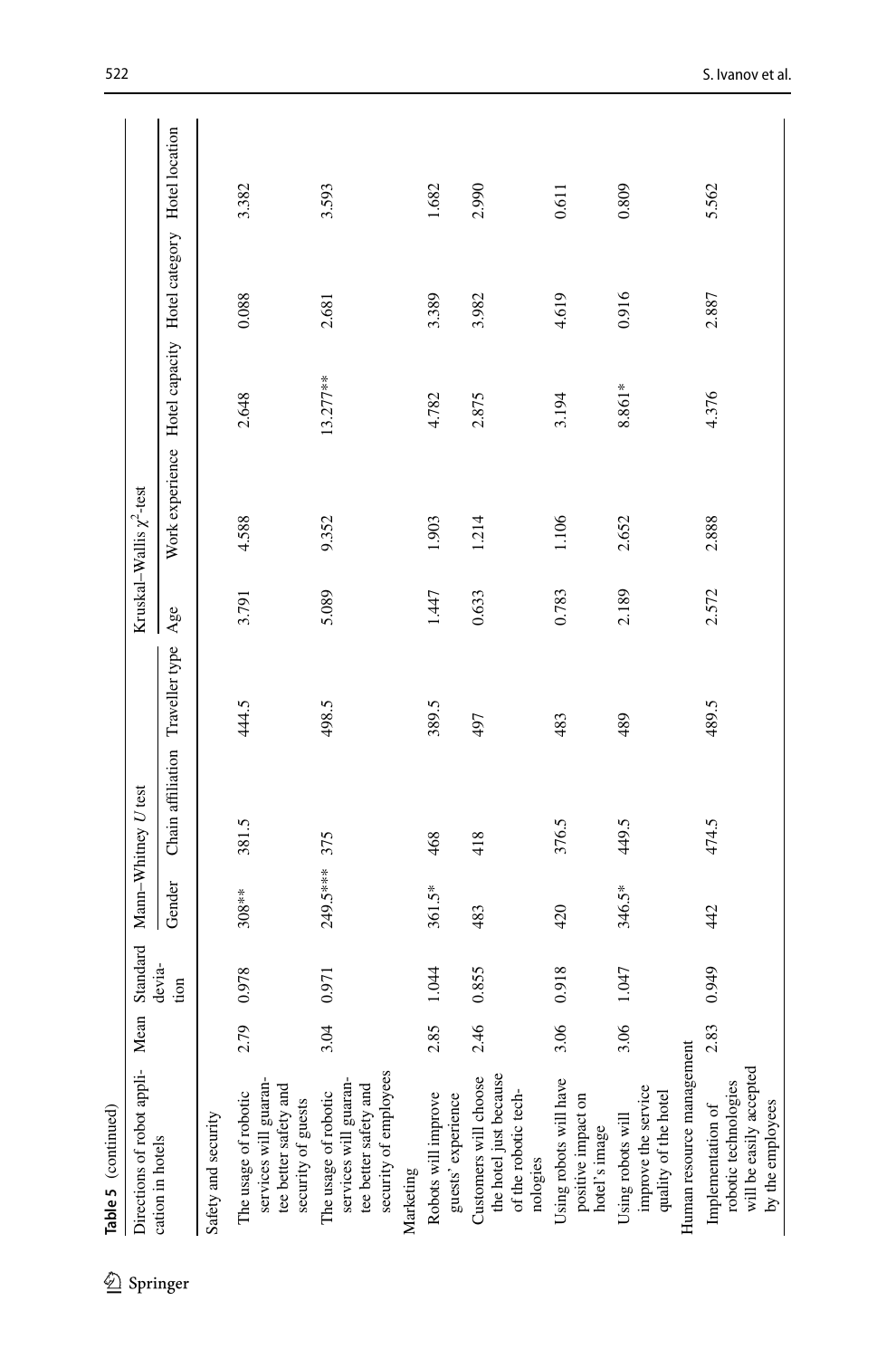| Directions of robot appli- Mean                                                                              |      | Standard       |           | Mann-Whitney U test |                |       | Kruskal–Wallis $\chi^2$ -test |            |                               |                |
|--------------------------------------------------------------------------------------------------------------|------|----------------|-----------|---------------------|----------------|-------|-------------------------------|------------|-------------------------------|----------------|
| cation in hotels                                                                                             |      | devia-<br>tion | Gender    | Chain affiliation   | Traveller type | Age   | Work experience               |            | Hotel capacity Hotel category | Hotel location |
| Safety and security                                                                                          |      |                |           |                     |                |       |                               |            |                               |                |
| services will guaran-<br>tee better safety and<br>The usage of robotic<br>security of guests                 | 2.79 | 0.978          | $308**$   | 381.5               | 444.5          | 3.791 | 4.588                         | 2.648      | 0.088                         | 3.382          |
| security of employees<br>services will guaran-<br>tee better safety and<br>The usage of robotic<br>Marketing | 3.04 | 0.971          | 249.5**** | 375                 | 498.5          | 5.089 | 9.352                         | $13.277**$ | 2.681                         | 3.593          |
| Robots will improve<br>guests' experience                                                                    | 2.85 | 1.044          | 361.5*    | 468                 | 389.5          | 1.447 | 1.903                         | 4.782      | 3.389                         | 1.682          |
| the hotel just because<br>Customers will choose<br>of the robotic tech-<br>nologies                          | 2.46 | 0.855          | 483       | 418                 | 497            | 0.633 | 1.214                         | 2.875      | 3.982                         | 2.990          |
| Using robots will have<br>positive impact on<br>hotel's image                                                | 3.06 | 0.918          | 420       | 376.5               | 483            | 0.783 | 1.106                         | 3.194      | 4.619                         | 0.611          |
| Human resource management<br>improve the service<br>quality of the hotel<br>Using robots will                | 3.06 | 1.047          | 346.5*    | 449.5               | 489            | 2.189 | 2.652                         | 8.861*     | 0.916                         | 0.809          |
| will be easily accepted<br>robotic technologies<br>by the employees<br>Implementation of                     | 2.83 | 0.949          | 42        | 474.5               | 489.5          | 2.572 | 2.888                         | 4.376      | 2.887                         | 5.562          |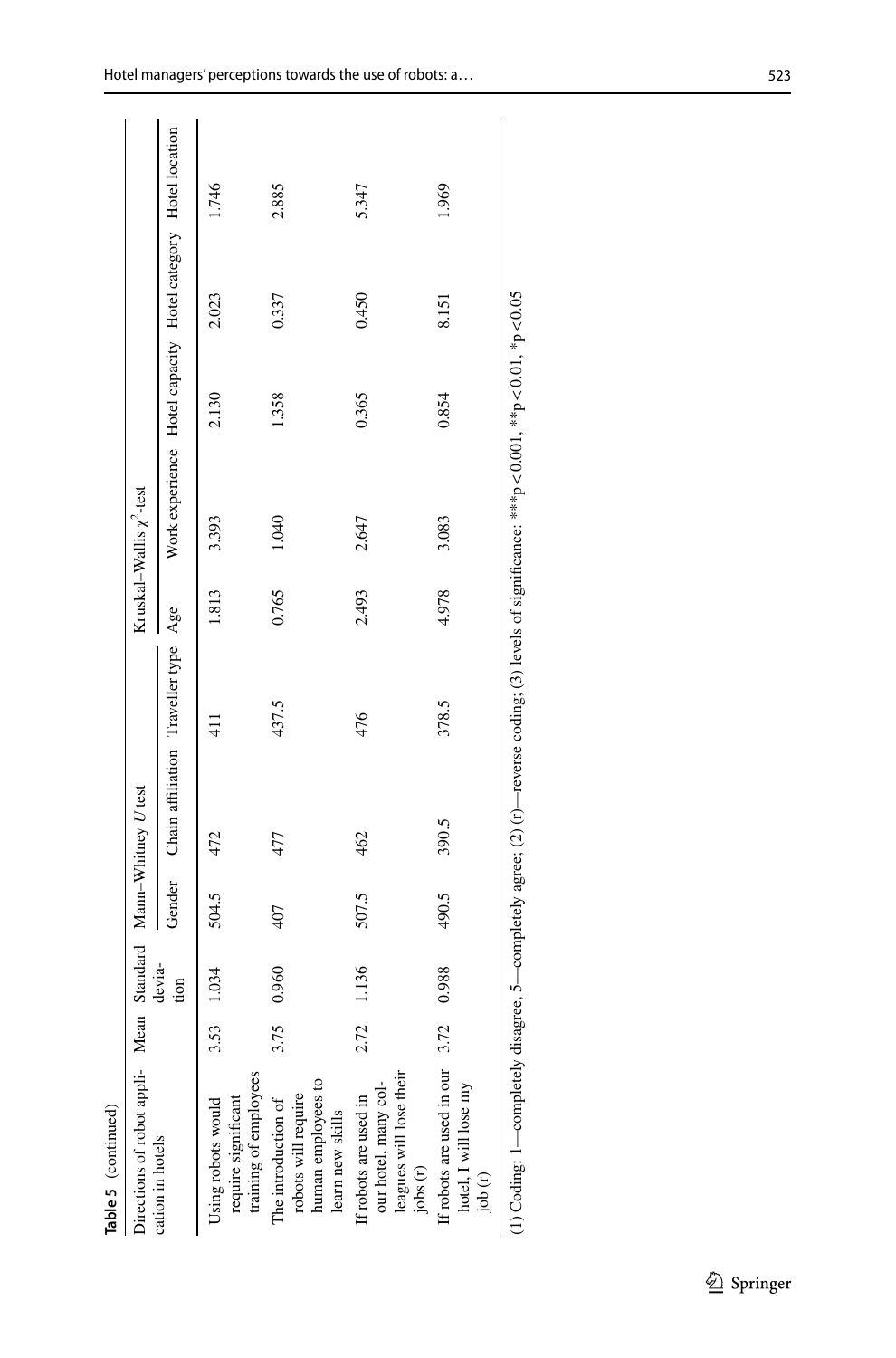| Table 5 (continued)                                                                  |      |                |               |                                      |               |       |                                                              |                           |       |       |
|--------------------------------------------------------------------------------------|------|----------------|---------------|--------------------------------------|---------------|-------|--------------------------------------------------------------|---------------------------|-------|-------|
| Directions of robot appli- Mean Standard Mann-Whitney U test                         |      |                |               |                                      |               |       | Kruskal–Wallis $\chi^2$ -test                                |                           |       |       |
| cation in hotels                                                                     |      | devia-<br>tion | Gender        | Chain affiliation Traveller type Age |               |       | Work experience Hotel capacity Hotel category Hotel location |                           |       |       |
| training of employees<br>require significant<br>Using robots would                   | 3.53 | 1.034          | 504.5         | 472                                  | $\frac{1}{4}$ | 1.813 | 3.393                                                        | 2.130                     | 2.023 | 1.746 |
| human employees to<br>robots will require<br>The introduction of<br>learn new skills | 3.75 | 0.960          | 407           | 477                                  | 437.5         | 0.765 | 1.040                                                        | 1.358                     | 0.337 | 2.885 |
| leagues will lose their<br>our hotel, many col-<br>If robots are used in<br>jobs (r) | 2.72 | 1.136          | 507.5         | 462                                  | 476           | 2.493 | 2.647                                                        | 0.365                     | 0.450 | 5.347 |
| If robots are used in our $3.72$<br>hotel, I will lose my<br>job(r)                  |      | 0.988          | 490.5         | 390.5                                | 378.5         | 4.978 | 3.083                                                        | 0.854                     | 8.151 | 1.969 |
| $\ddot{ }$<br>・こくて                                                                   |      | ļ              | $\frac{1}{2}$ | $\sim$ $\sim$                        |               |       |                                                              | しくく じょうせく くじ ききしゃくくく じょうき |       |       |

(1) Coding: 1—completely disagree, 5—completely agree; (2) (t)—reverse coding; (3) levels of significance: \*\*\*p < 0.001, \*\*p < 0.01, \*p < 0.05 (1) Coding: 1—completely disagree, 5—completely agree; (2) (r)—reverse coding; (3) levels of significance: \*\*\*p <0.01, \*\*p <0.01, \*p <0.05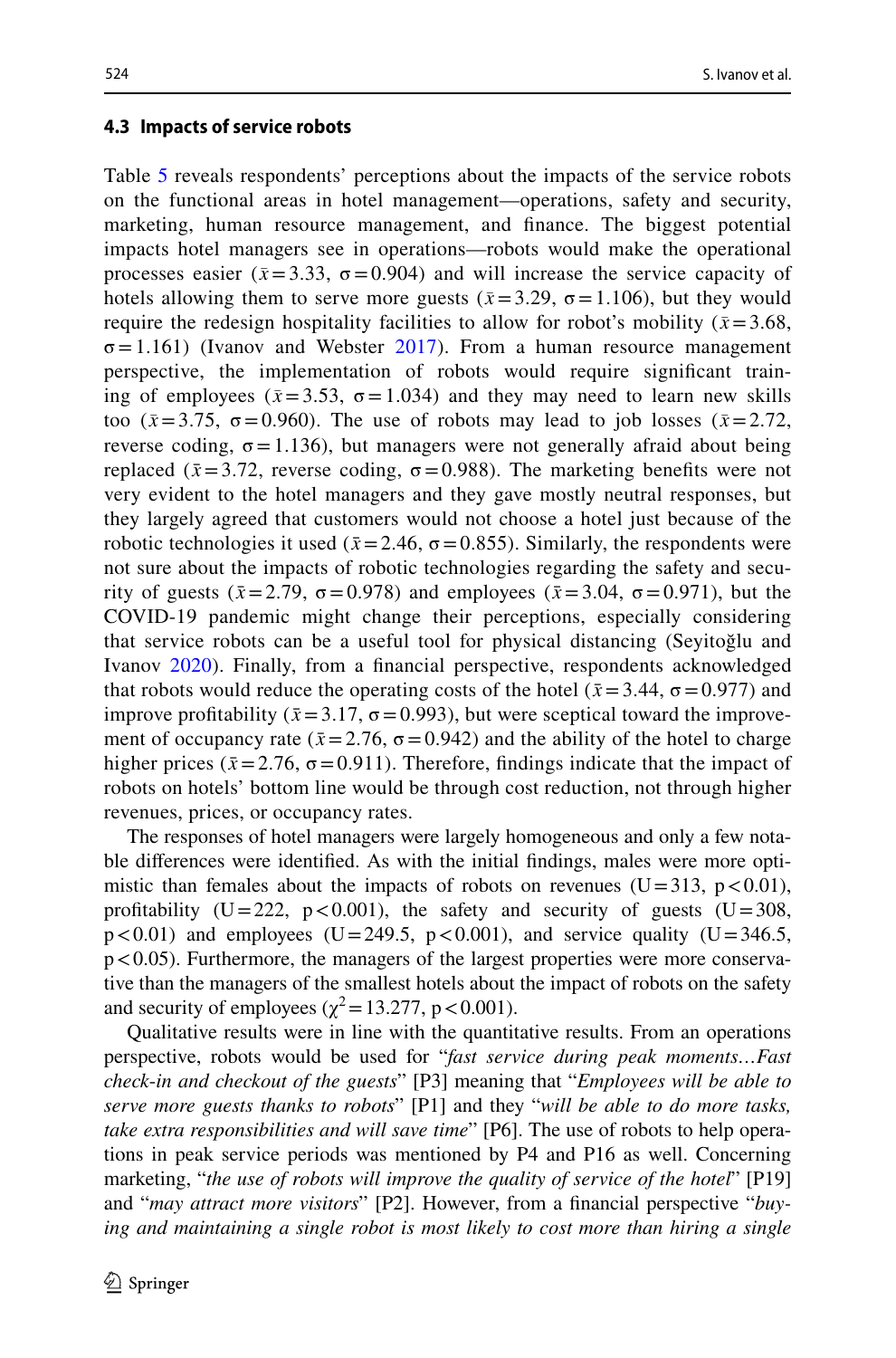#### **4.3 Impacts of service robots**

Table [5](#page-16-0) reveals respondents' perceptions about the impacts of the service robots on the functional areas in hotel management—operations, safety and security, marketing, human resource management, and fnance. The biggest potential impacts hotel managers see in operations—robots would make the operational processes easier ( $\bar{x}$ =3.33,  $\sigma$ =0.904) and will increase the service capacity of hotels allowing them to serve more guests ( $\bar{x}$ =3.29,  $\sigma$  = 1.106), but they would require the redesign hospitality facilities to allow for robot's mobility ( $\bar{x}$  = 3.68,  $\sigma$ =1.161) (Ivanov and Webster [2017\)](#page-27-15). From a human resource management perspective, the implementation of robots would require signifcant training of employees ( $\bar{x}$ =3.53,  $\sigma$ =1.034) and they may need to learn new skills too ( $\bar{x}$ =3.75,  $\sigma$ =0.960). The use of robots may lead to job losses ( $\bar{x}$ =2.72, reverse coding,  $\sigma = 1.136$ ), but managers were not generally afraid about being replaced ( $\bar{x}$  = 3.72, reverse coding,  $\sigma$  = 0.988). The marketing benefits were not very evident to the hotel managers and they gave mostly neutral responses, but they largely agreed that customers would not choose a hotel just because of the robotic technologies it used ( $\bar{x}$  = 2.46,  $\sigma$  = 0.855). Similarly, the respondents were not sure about the impacts of robotic technologies regarding the safety and security of guests  $(\bar{x}=2.79, \sigma=0.978)$  and employees  $(\bar{x}=3.04, \sigma=0.971)$ , but the COVID-19 pandemic might change their perceptions, especially considering that service robots can be a useful tool for physical distancing (Seyitoğlu and Ivanov [2020](#page-29-3)). Finally, from a fnancial perspective, respondents acknowledged that robots would reduce the operating costs of the hotel ( $\bar{x}$  = 3.44,  $\sigma$  = 0.977) and improve profitability ( $\bar{x}$  = 3.17,  $\sigma$  = 0.993), but were sceptical toward the improvement of occupancy rate ( $\bar{x}$ =2.76,  $\sigma$  =0.942) and the ability of the hotel to charge higher prices ( $\bar{x}$ =2.76,  $\sigma$  = 0.911). Therefore, findings indicate that the impact of robots on hotels' bottom line would be through cost reduction, not through higher revenues, prices, or occupancy rates.

The responses of hotel managers were largely homogeneous and only a few notable diferences were identifed. As with the initial fndings, males were more optimistic than females about the impacts of robots on revenues ( $U=313$ , p $< 0.01$ ), profitability (U=222, p<0.001), the safety and security of guests (U=308,  $p < 0.01$ ) and employees (U=249.5,  $p < 0.001$ ), and service quality (U=346.5,  $p < 0.05$ ). Furthermore, the managers of the largest properties were more conservative than the managers of the smallest hotels about the impact of robots on the safety and security of employees ( $\chi^2$  = 13.277, p < 0.001).

Qualitative results were in line with the quantitative results. From an operations perspective, robots would be used for "*fast service during peak moments…Fast check*-*in and checkout of the guests*" [P3] meaning that "*Employees will be able to serve more guests thanks to robots*" [P1] and they "*will be able to do more tasks, take extra responsibilities and will save time*" [P6]. The use of robots to help operations in peak service periods was mentioned by P4 and P16 as well. Concerning marketing, "*the use of robots will improve the quality of service of the hotel*" [P19] and "*may attract more visitors*" [P2]. However, from a fnancial perspective "*buying and maintaining a single robot is most likely to cost more than hiring a single*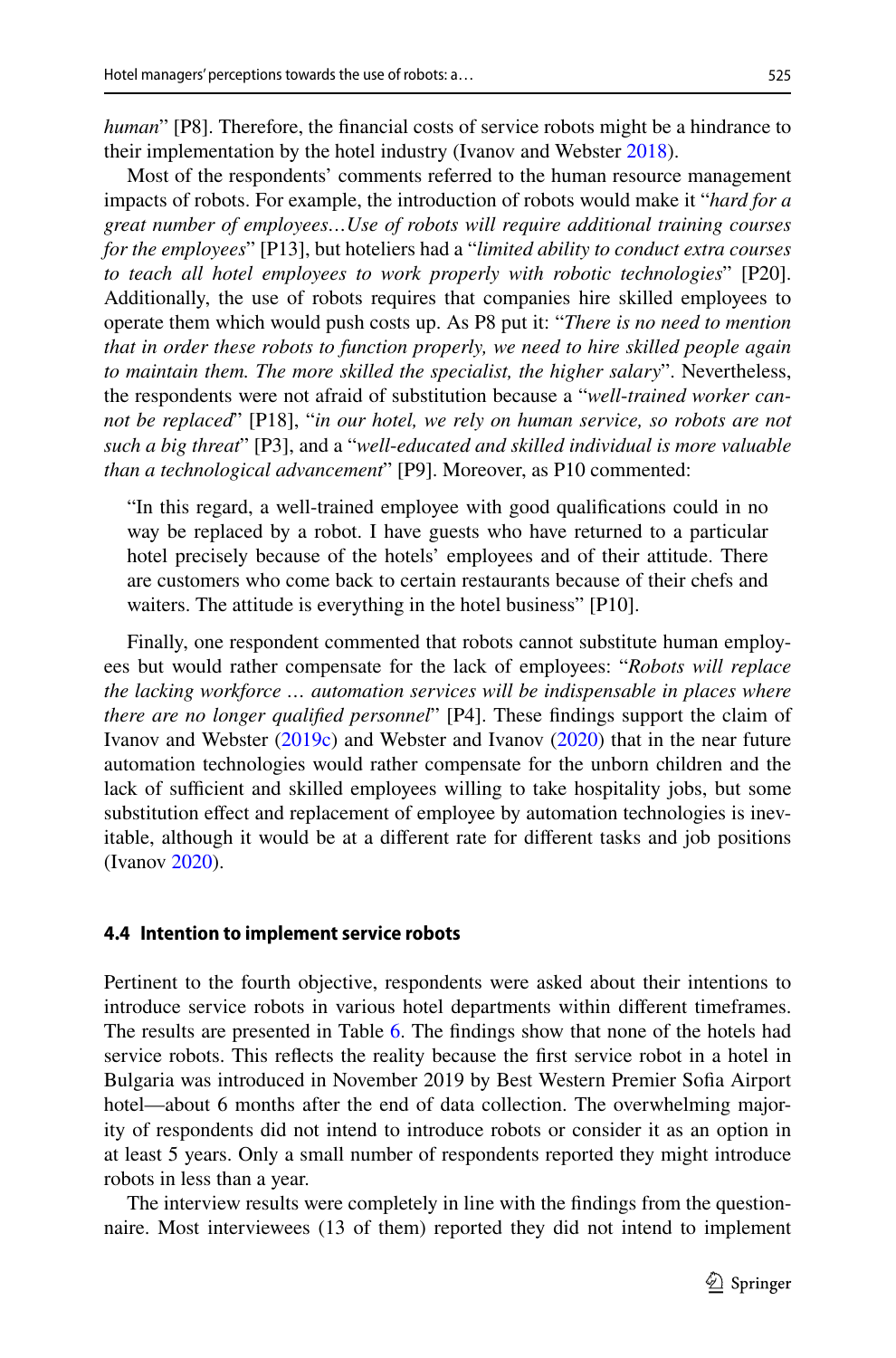*human*" [P8]. Therefore, the financial costs of service robots might be a hindrance to their implementation by the hotel industry (Ivanov and Webster [2018](#page-27-19)).

Most of the respondents' comments referred to the human resource management impacts of robots. For example, the introduction of robots would make it "*hard for a great number of employees…Use of robots will require additional training courses for the employees*" [P13], but hoteliers had a "*limited ability to conduct extra courses to teach all hotel employees to work properly with robotic technologies*" [P20]. Additionally, the use of robots requires that companies hire skilled employees to operate them which would push costs up. As P8 put it: "*There is no need to mention that in order these robots to function properly, we need to hire skilled people again to maintain them. The more skilled the specialist, the higher salary*". Nevertheless, the respondents were not afraid of substitution because a "*well*-*trained worker cannot be replaced*" [P18], "*in our hotel, we rely on human service, so robots are not such a big threat*" [P3], and a "*well*-*educated and skilled individual is more valuable than a technological advancement*" [P9]. Moreover, as P10 commented:

"In this regard, a well-trained employee with good qualifcations could in no way be replaced by a robot. I have guests who have returned to a particular hotel precisely because of the hotels' employees and of their attitude. There are customers who come back to certain restaurants because of their chefs and waiters. The attitude is everything in the hotel business" [P10].

Finally, one respondent commented that robots cannot substitute human employees but would rather compensate for the lack of employees: "*Robots will replace the lacking workforce … automation services will be indispensable in places where there are no longer qualifed personnel*" [P4]. These fndings support the claim of Ivanov and Webster [\(2019c](#page-27-3)) and Webster and Ivanov [\(2020](#page-30-17)) that in the near future automation technologies would rather compensate for the unborn children and the lack of sufficient and skilled employees willing to take hospitality jobs, but some substitution efect and replacement of employee by automation technologies is inevitable, although it would be at a diferent rate for diferent tasks and job positions (Ivanov [2020](#page-27-20)).

#### **4.4 Intention to implement service robots**

Pertinent to the fourth objective, respondents were asked about their intentions to introduce service robots in various hotel departments within diferent timeframes. The results are presented in Table [6](#page-21-0). The fndings show that none of the hotels had service robots. This refects the reality because the frst service robot in a hotel in Bulgaria was introduced in November 2019 by Best Western Premier Sofa Airport hotel—about 6 months after the end of data collection. The overwhelming majority of respondents did not intend to introduce robots or consider it as an option in at least 5 years. Only a small number of respondents reported they might introduce robots in less than a year.

The interview results were completely in line with the fndings from the questionnaire. Most interviewees (13 of them) reported they did not intend to implement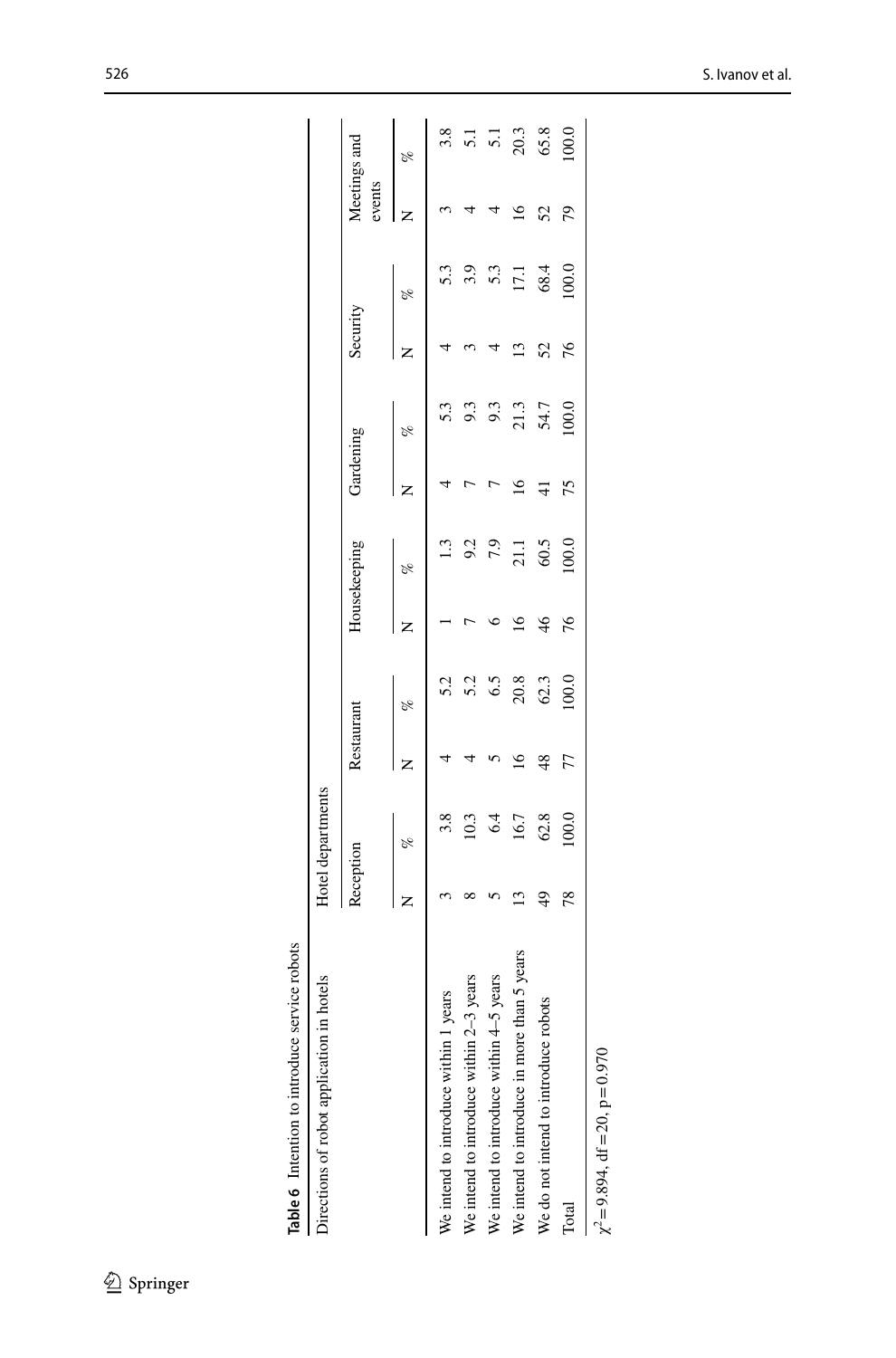| Table 6 Intention to introduce service robots |           |                   |                 |          |                 |              |                 |               |               |          |                        |                                                        |
|-----------------------------------------------|-----------|-------------------|-----------------|----------|-----------------|--------------|-----------------|---------------|---------------|----------|------------------------|--------------------------------------------------------|
| Directions of robot application in hotels     |           | Hotel departments |                 |          |                 |              |                 |               |               |          |                        |                                                        |
|                                               | Reception |                   | Restaurant      |          |                 | Housekeeping | Gardening       |               | Security      |          | Meetings and<br>events |                                                        |
|                                               |           | $\frac{6}{2}$     | Z               | olo      |                 | $\delta$     |                 | $\frac{6}{6}$ |               | $\%$     |                        | p <sub>e</sub>                                         |
| years<br>We intend to introduce within 1      |           | 3.8               |                 | 5.2      |                 | 1.3          |                 | 5.3           |               | 5.3      |                        | 3.8                                                    |
| We intend to introduce within 2-3 years       |           | 10.3              |                 | 5.2      |                 | 9.2          |                 | 9.3           |               | 3.3      |                        | $\overline{5}$ .<br>$\overline{5}$ .<br>$\overline{1}$ |
| We intend to introduce within 4-5 years       |           | 6.4               |                 | 6.5      |                 | 7.9          |                 | 9.3           |               |          |                        |                                                        |
| We intend to introduce in more than 5 years   |           | 16.7              | $\overline{16}$ | $20.8\,$ | $\overline{16}$ | $21.1$ 60.5  | $\overline{16}$ | 21.3          | $\mathbf{13}$ | $17.1\,$ | $\approx$              | $20.3$                                                 |
| We do not intend to introduce robots          | 49        | 62.8              | 48              | 62.3     | 46              |              | 4               | 54.7          | 52            | 68.4     | 52                     | 65.8                                                   |
| Total                                         | 78        | 100.0             | 77              | 100.0    | 76              | 000          | 75              | 100.0         | 76            | 100.0    | 79                     | 100.0                                                  |
| $\chi^2 = 9.894$ , df = 20, p=0.970           |           |                   |                 |          |                 |              |                 |               |               |          |                        |                                                        |

<span id="page-21-0"></span>

| <b>Case of</b>              |
|-----------------------------|
| 0.0117770                   |
| $2.44$ and $2.44$ and $2.5$ |
| $\mathbf{r}$                |
| wtontiner.                  |
|                             |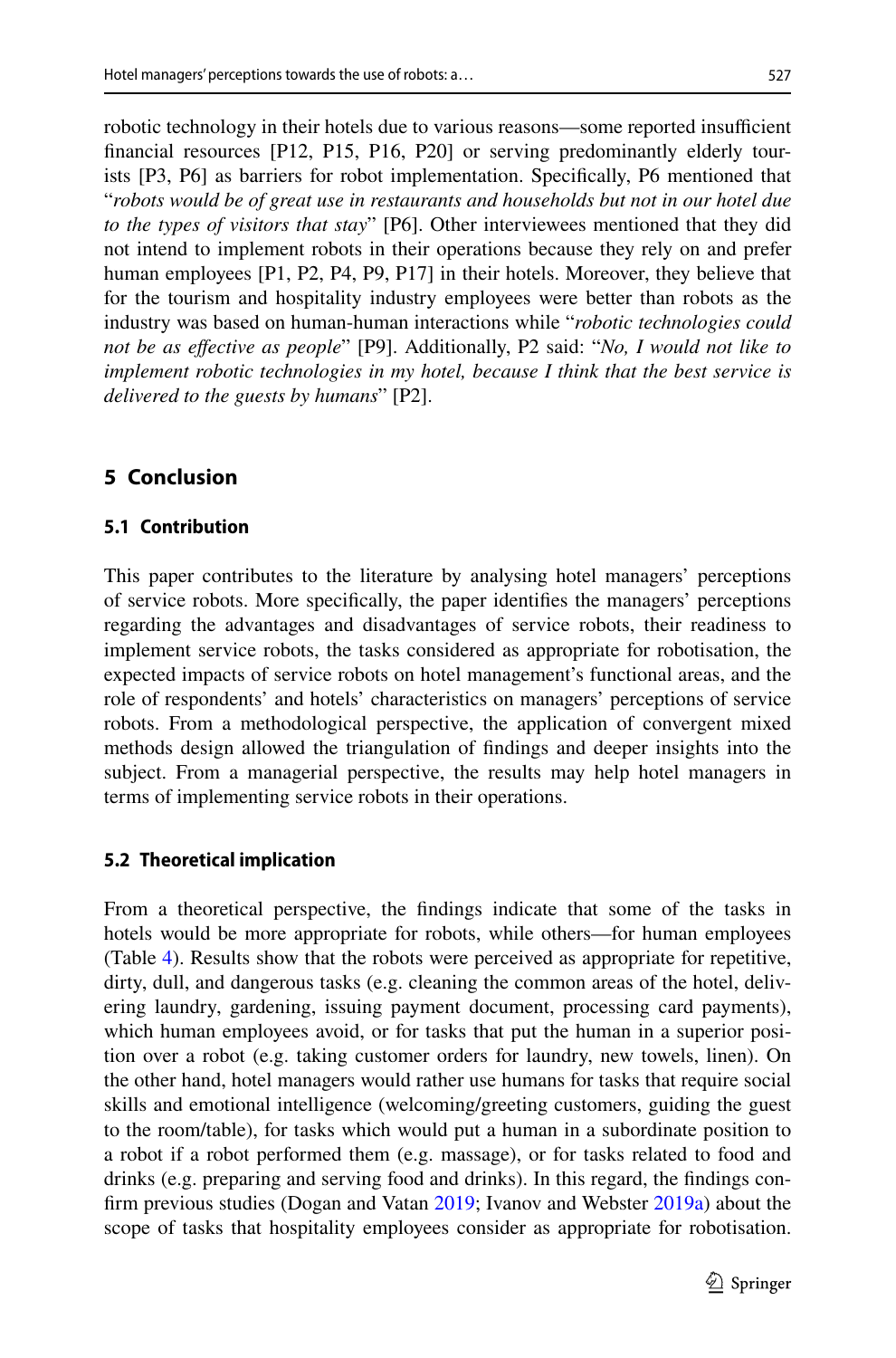robotic technology in their hotels due to various reasons—some reported insufficient fnancial resources [P12, P15, P16, P20] or serving predominantly elderly tourists [P3, P6] as barriers for robot implementation. Specifcally, P6 mentioned that "*robots would be of great use in restaurants and households but not in our hotel due to the types of visitors that stay*" [P6]. Other interviewees mentioned that they did not intend to implement robots in their operations because they rely on and prefer human employees [P1, P2, P4, P9, P17] in their hotels. Moreover, they believe that for the tourism and hospitality industry employees were better than robots as the industry was based on human-human interactions while "*robotic technologies could not be as efective as people*" [P9]. Additionally, P2 said: "*No, I would not like to implement robotic technologies in my hotel, because I think that the best service is delivered to the guests by humans*" [P2].

# <span id="page-22-0"></span>**5 Conclusion**

#### **5.1 Contribution**

This paper contributes to the literature by analysing hotel managers' perceptions of service robots. More specifcally, the paper identifes the managers' perceptions regarding the advantages and disadvantages of service robots, their readiness to implement service robots, the tasks considered as appropriate for robotisation, the expected impacts of service robots on hotel management's functional areas, and the role of respondents' and hotels' characteristics on managers' perceptions of service robots. From a methodological perspective, the application of convergent mixed methods design allowed the triangulation of fndings and deeper insights into the subject. From a managerial perspective, the results may help hotel managers in terms of implementing service robots in their operations.

#### <span id="page-22-1"></span>**5.2 Theoretical implication**

From a theoretical perspective, the fndings indicate that some of the tasks in hotels would be more appropriate for robots, while others—for human employees (Table [4\)](#page-13-0). Results show that the robots were perceived as appropriate for repetitive, dirty, dull, and dangerous tasks (e.g. cleaning the common areas of the hotel, delivering laundry, gardening, issuing payment document, processing card payments), which human employees avoid, or for tasks that put the human in a superior position over a robot (e.g. taking customer orders for laundry, new towels, linen). On the other hand, hotel managers would rather use humans for tasks that require social skills and emotional intelligence (welcoming/greeting customers, guiding the guest to the room/table), for tasks which would put a human in a subordinate position to a robot if a robot performed them (e.g. massage), or for tasks related to food and drinks (e.g. preparing and serving food and drinks). In this regard, the fndings confrm previous studies (Dogan and Vatan [2019](#page-27-12); Ivanov and Webster [2019a](#page-27-8)) about the scope of tasks that hospitality employees consider as appropriate for robotisation.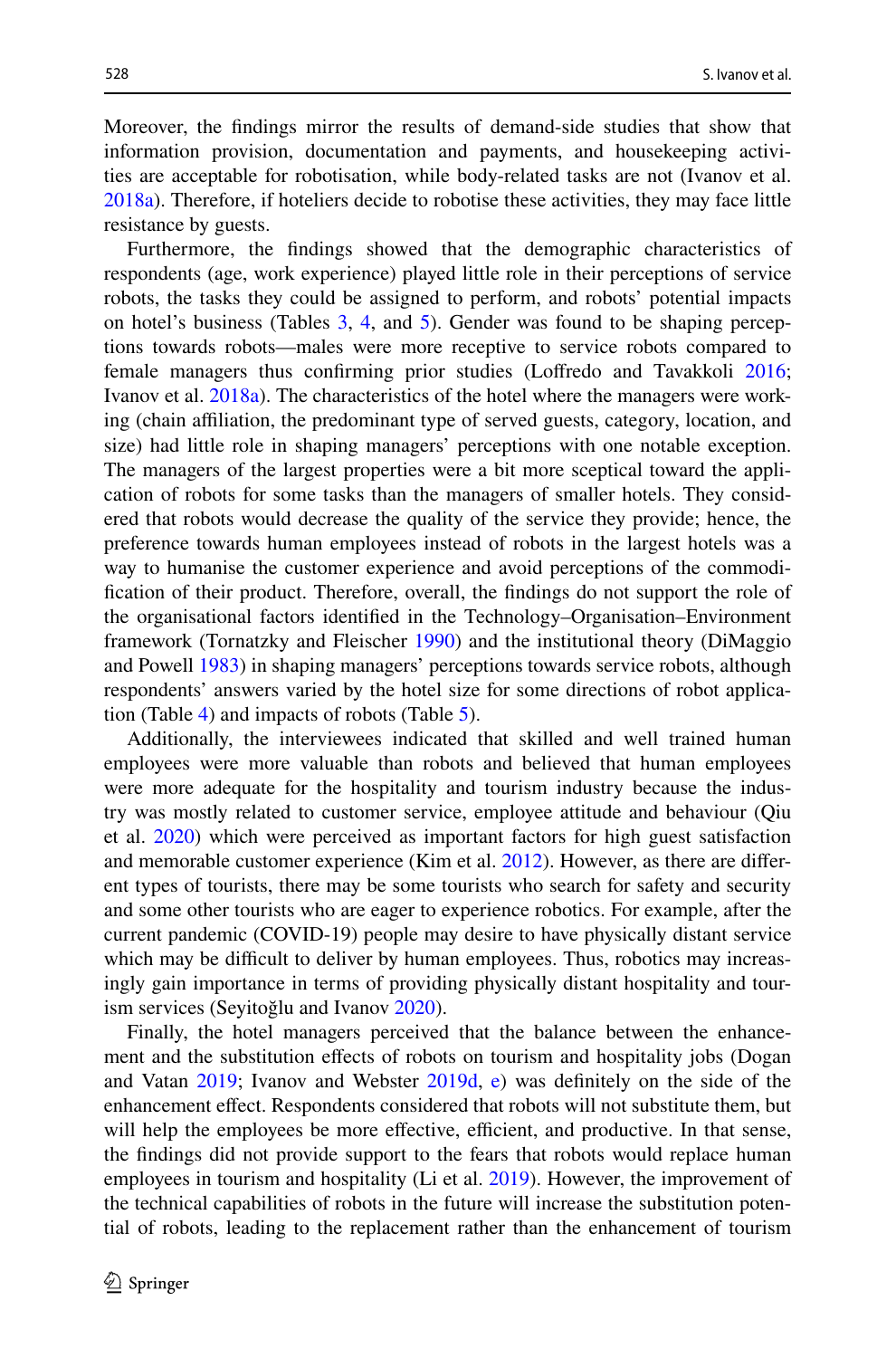Moreover, the fndings mirror the results of demand-side studies that show that information provision, documentation and payments, and housekeeping activities are acceptable for robotisation, while body-related tasks are not (Ivanov et al. [2018a](#page-28-9)). Therefore, if hoteliers decide to robotise these activities, they may face little resistance by guests.

Furthermore, the fndings showed that the demographic characteristics of respondents (age, work experience) played little role in their perceptions of service robots, the tasks they could be assigned to perform, and robots' potential impacts on hotel's business (Tables [3,](#page-11-0) [4,](#page-13-0) and [5](#page-16-0)). Gender was found to be shaping perceptions towards robots—males were more receptive to service robots compared to female managers thus confrming prior studies (Lofredo and Tavakkoli [2016;](#page-28-16) Ivanov et al. [2018a](#page-28-9)). The characteristics of the hotel where the managers were working (chain afliation, the predominant type of served guests, category, location, and size) had little role in shaping managers' perceptions with one notable exception. The managers of the largest properties were a bit more sceptical toward the application of robots for some tasks than the managers of smaller hotels. They considered that robots would decrease the quality of the service they provide; hence, the preference towards human employees instead of robots in the largest hotels was a way to humanise the customer experience and avoid perceptions of the commodifcation of their product. Therefore, overall, the fndings do not support the role of the organisational factors identifed in the Technology–Organisation–Environment framework (Tornatzky and Fleischer [1990](#page-29-23)) and the institutional theory (DiMaggio and Powell [1983\)](#page-27-18) in shaping managers' perceptions towards service robots, although respondents' answers varied by the hotel size for some directions of robot application (Table [4](#page-13-0)) and impacts of robots (Table [5](#page-16-0)).

Additionally, the interviewees indicated that skilled and well trained human employees were more valuable than robots and believed that human employees were more adequate for the hospitality and tourism industry because the industry was mostly related to customer service, employee attitude and behaviour (Qiu et al. [2020](#page-29-14)) which were perceived as important factors for high guest satisfaction and memorable customer experience (Kim et al. [2012](#page-28-21)). However, as there are diferent types of tourists, there may be some tourists who search for safety and security and some other tourists who are eager to experience robotics. For example, after the current pandemic (COVID-19) people may desire to have physically distant service which may be difficult to deliver by human employees. Thus, robotics may increasingly gain importance in terms of providing physically distant hospitality and tourism services (Seyitoğlu and Ivanov [2020\)](#page-29-3).

Finally, the hotel managers perceived that the balance between the enhancement and the substitution efects of robots on tourism and hospitality jobs (Dogan and Vatan [2019;](#page-27-12) Ivanov and Webster [2019d,](#page-27-17) [e](#page-27-14)) was defnitely on the side of the enhancement efect. Respondents considered that robots will not substitute them, but will help the employees be more effective, efficient, and productive. In that sense, the fndings did not provide support to the fears that robots would replace human employees in tourism and hospitality (Li et al. [2019\)](#page-28-14). However, the improvement of the technical capabilities of robots in the future will increase the substitution potential of robots, leading to the replacement rather than the enhancement of tourism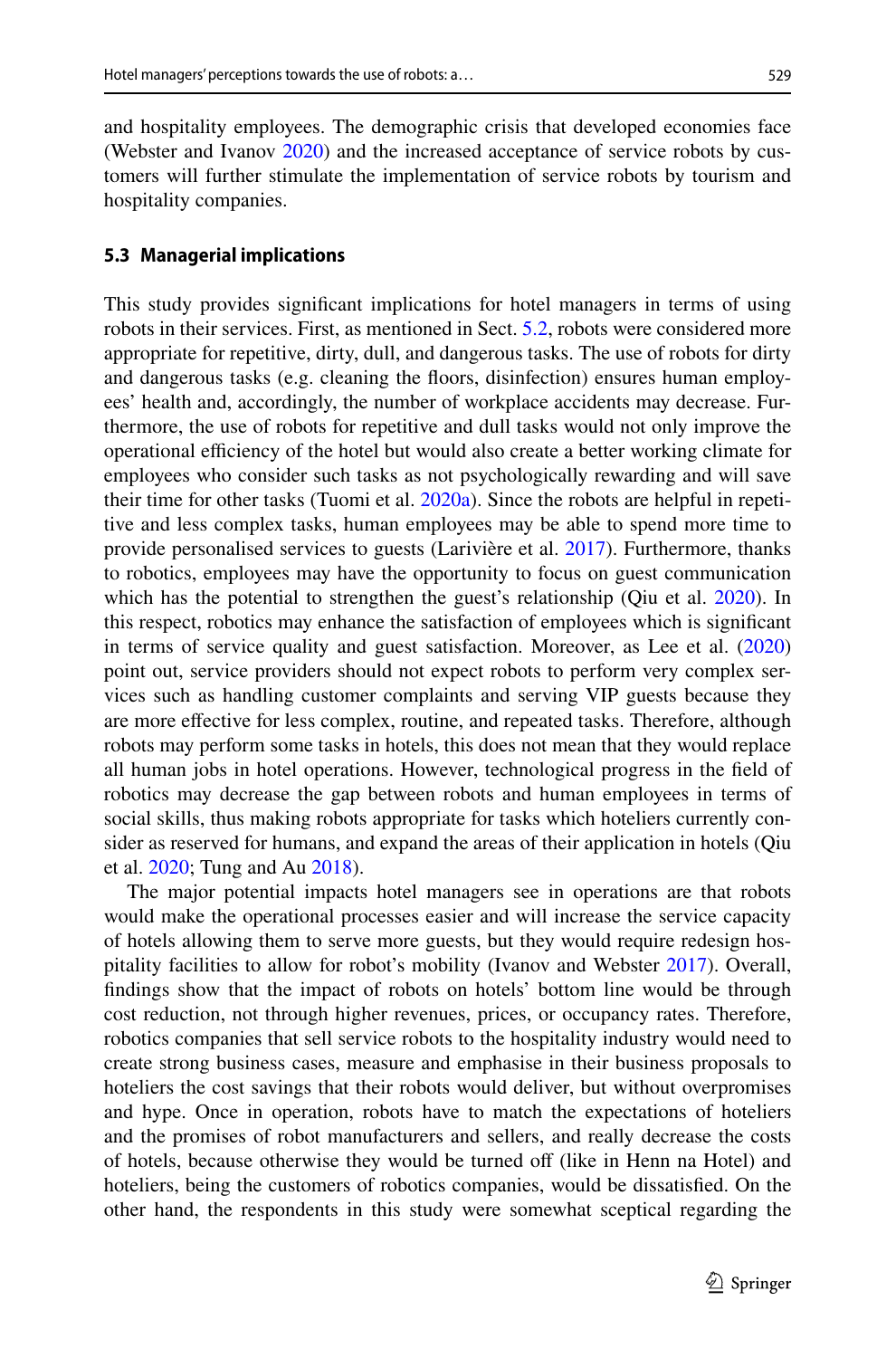and hospitality employees. The demographic crisis that developed economies face (Webster and Ivanov [2020\)](#page-30-17) and the increased acceptance of service robots by customers will further stimulate the implementation of service robots by tourism and hospitality companies.

#### **5.3 Managerial implications**

This study provides signifcant implications for hotel managers in terms of using robots in their services. First, as mentioned in Sect. [5.2,](#page-22-1) robots were considered more appropriate for repetitive, dirty, dull, and dangerous tasks. The use of robots for dirty and dangerous tasks (e.g. cleaning the foors, disinfection) ensures human employees' health and, accordingly, the number of workplace accidents may decrease. Furthermore, the use of robots for repetitive and dull tasks would not only improve the operational efficiency of the hotel but would also create a better working climate for employees who consider such tasks as not psychologically rewarding and will save their time for other tasks (Tuomi et al. [2020a\)](#page-29-21). Since the robots are helpful in repetitive and less complex tasks, human employees may be able to spend more time to provide personalised services to guests (Larivière et al. [2017](#page-28-22)). Furthermore, thanks to robotics, employees may have the opportunity to focus on guest communication which has the potential to strengthen the guest's relationship (Qiu et al. [2020\)](#page-29-14). In this respect, robotics may enhance the satisfaction of employees which is signifcant in terms of service quality and guest satisfaction. Moreover, as Lee et al. [\(2020](#page-28-23)) point out, service providers should not expect robots to perform very complex services such as handling customer complaints and serving VIP guests because they are more efective for less complex, routine, and repeated tasks. Therefore, although robots may perform some tasks in hotels, this does not mean that they would replace all human jobs in hotel operations. However, technological progress in the feld of robotics may decrease the gap between robots and human employees in terms of social skills, thus making robots appropriate for tasks which hoteliers currently consider as reserved for humans, and expand the areas of their application in hotels (Qiu et al. [2020;](#page-29-14) Tung and Au [2018\)](#page-29-25).

The major potential impacts hotel managers see in operations are that robots would make the operational processes easier and will increase the service capacity of hotels allowing them to serve more guests, but they would require redesign hospitality facilities to allow for robot's mobility (Ivanov and Webster [2017](#page-27-15)). Overall, fndings show that the impact of robots on hotels' bottom line would be through cost reduction, not through higher revenues, prices, or occupancy rates. Therefore, robotics companies that sell service robots to the hospitality industry would need to create strong business cases, measure and emphasise in their business proposals to hoteliers the cost savings that their robots would deliver, but without overpromises and hype. Once in operation, robots have to match the expectations of hoteliers and the promises of robot manufacturers and sellers, and really decrease the costs of hotels, because otherwise they would be turned off (like in Henn na Hotel) and hoteliers, being the customers of robotics companies, would be dissatisfed. On the other hand, the respondents in this study were somewhat sceptical regarding the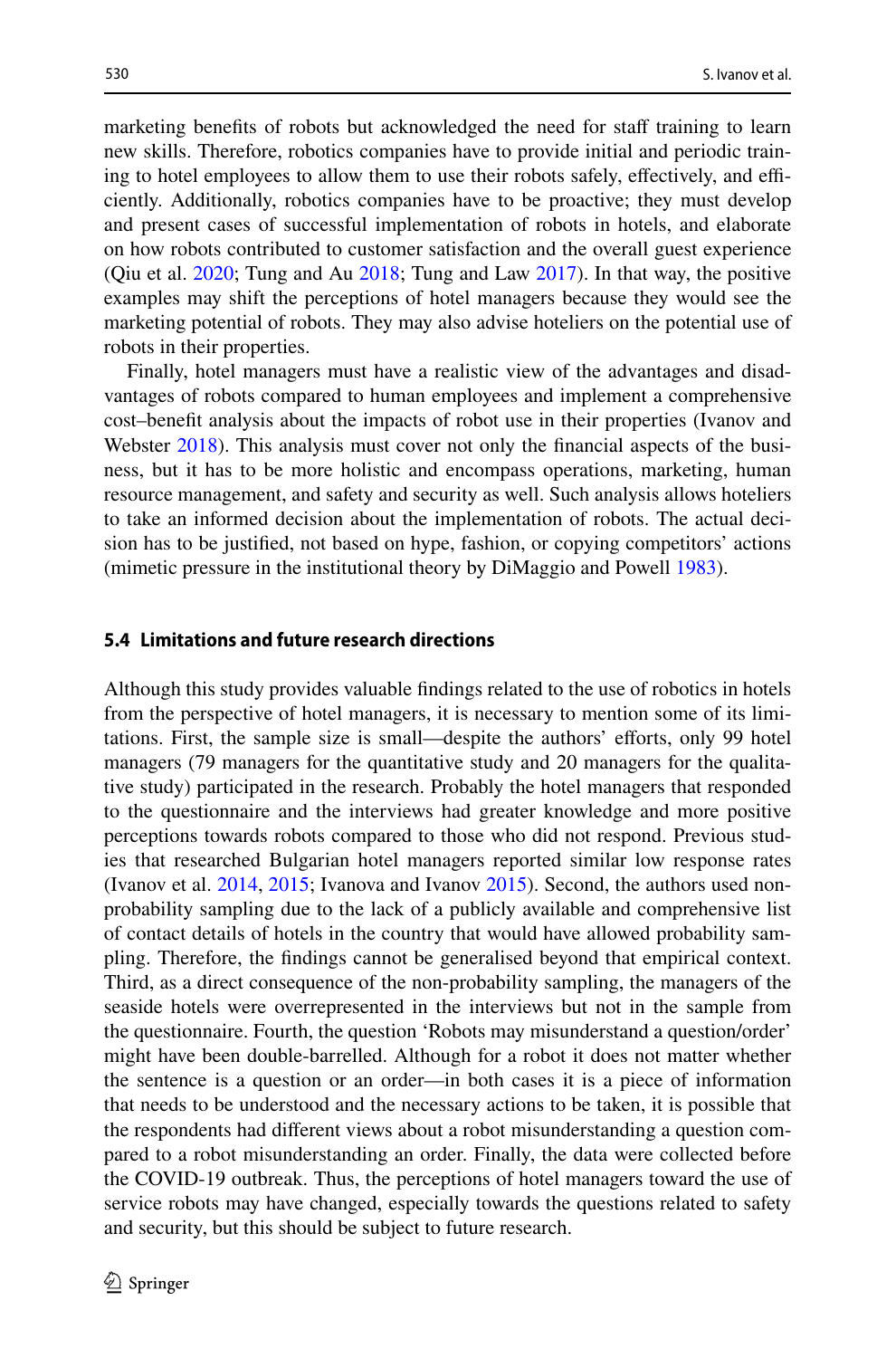marketing benefits of robots but acknowledged the need for staff training to learn new skills. Therefore, robotics companies have to provide initial and periodic training to hotel employees to allow them to use their robots safely, effectively, and efficiently. Additionally, robotics companies have to be proactive; they must develop and present cases of successful implementation of robots in hotels, and elaborate on how robots contributed to customer satisfaction and the overall guest experience (Qiu et al. [2020;](#page-29-14) Tung and Au [2018](#page-29-25); Tung and Law [2017](#page-29-9)). In that way, the positive examples may shift the perceptions of hotel managers because they would see the marketing potential of robots. They may also advise hoteliers on the potential use of robots in their properties.

Finally, hotel managers must have a realistic view of the advantages and disadvantages of robots compared to human employees and implement a comprehensive cost–beneft analysis about the impacts of robot use in their properties (Ivanov and Webster [2018\)](#page-27-19). This analysis must cover not only the fnancial aspects of the business, but it has to be more holistic and encompass operations, marketing, human resource management, and safety and security as well. Such analysis allows hoteliers to take an informed decision about the implementation of robots. The actual decision has to be justifed, not based on hype, fashion, or copying competitors' actions (mimetic pressure in the institutional theory by DiMaggio and Powell [1983\)](#page-27-18).

#### **5.4 Limitations and future research directions**

Although this study provides valuable fndings related to the use of robotics in hotels from the perspective of hotel managers, it is necessary to mention some of its limitations. First, the sample size is small—despite the authors' eforts, only 99 hotel managers (79 managers for the quantitative study and 20 managers for the qualitative study) participated in the research. Probably the hotel managers that responded to the questionnaire and the interviews had greater knowledge and more positive perceptions towards robots compared to those who did not respond. Previous studies that researched Bulgarian hotel managers reported similar low response rates (Ivanov et al. [2014,](#page-27-21) [2015;](#page-28-24) Ivanova and Ivanov [2015\)](#page-28-25). Second, the authors used nonprobability sampling due to the lack of a publicly available and comprehensive list of contact details of hotels in the country that would have allowed probability sampling. Therefore, the fndings cannot be generalised beyond that empirical context. Third, as a direct consequence of the non-probability sampling, the managers of the seaside hotels were overrepresented in the interviews but not in the sample from the questionnaire. Fourth, the question 'Robots may misunderstand a question/order' might have been double-barrelled. Although for a robot it does not matter whether the sentence is a question or an order—in both cases it is a piece of information that needs to be understood and the necessary actions to be taken, it is possible that the respondents had diferent views about a robot misunderstanding a question compared to a robot misunderstanding an order. Finally, the data were collected before the COVID-19 outbreak. Thus, the perceptions of hotel managers toward the use of service robots may have changed, especially towards the questions related to safety and security, but this should be subject to future research.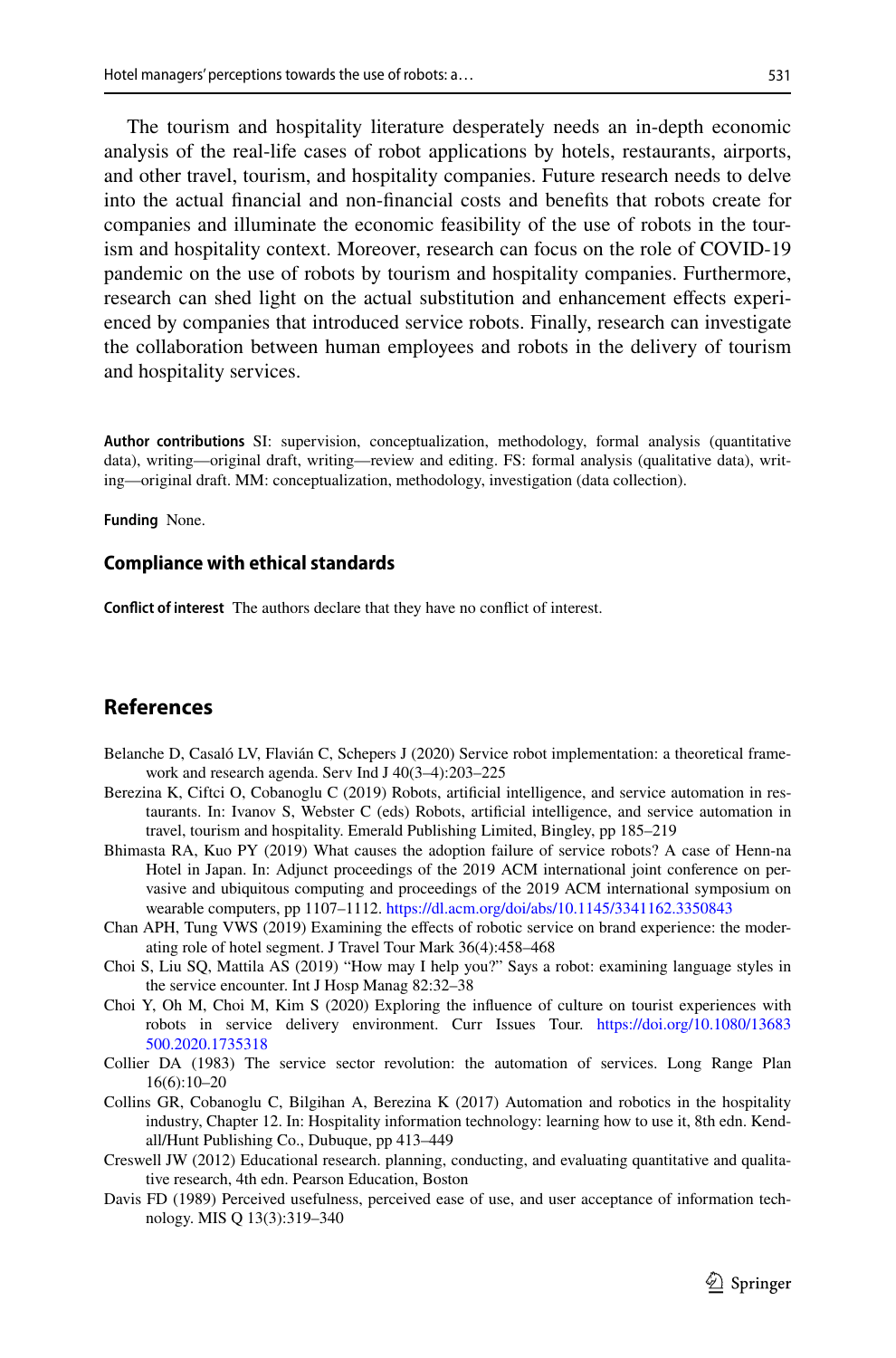The tourism and hospitality literature desperately needs an in-depth economic analysis of the real-life cases of robot applications by hotels, restaurants, airports, and other travel, tourism, and hospitality companies. Future research needs to delve into the actual fnancial and non-fnancial costs and benefts that robots create for companies and illuminate the economic feasibility of the use of robots in the tourism and hospitality context. Moreover, research can focus on the role of COVID-19 pandemic on the use of robots by tourism and hospitality companies. Furthermore, research can shed light on the actual substitution and enhancement efects experienced by companies that introduced service robots. Finally, research can investigate the collaboration between human employees and robots in the delivery of tourism and hospitality services.

**Author contributions** SI: supervision, conceptualization, methodology, formal analysis (quantitative data), writing—original draft, writing—review and editing. FS: formal analysis (qualitative data), writing—original draft. MM: conceptualization, methodology, investigation (data collection).

**Funding** None.

### **Compliance with ethical standards**

**Confict of interest** The authors declare that they have no confict of interest.

# **References**

- <span id="page-26-2"></span>Belanche D, Casaló LV, Flavián C, Schepers J (2020) Service robot implementation: a theoretical framework and research agenda. Serv Ind J 40(3–4):203–225
- <span id="page-26-4"></span>Berezina K, Ciftci O, Cobanoglu C (2019) Robots, artificial intelligence, and service automation in restaurants. In: Ivanov S, Webster C (eds) Robots, artifcial intelligence, and service automation in travel, tourism and hospitality. Emerald Publishing Limited, Bingley, pp 185–219
- <span id="page-26-1"></span>Bhimasta RA, Kuo PY (2019) What causes the adoption failure of service robots? A case of Henn-na Hotel in Japan. In: Adjunct proceedings of the 2019 ACM international joint conference on pervasive and ubiquitous computing and proceedings of the 2019 ACM international symposium on wearable computers, pp 1107–1112. <https://dl.acm.org/doi/abs/10.1145/3341162.3350843>
- <span id="page-26-6"></span>Chan APH, Tung VWS (2019) Examining the efects of robotic service on brand experience: the moderating role of hotel segment. J Travel Tour Mark 36(4):458–468
- <span id="page-26-5"></span>Choi S, Liu SQ, Mattila AS (2019) "How may I help you?" Says a robot: examining language styles in the service encounter. Int J Hosp Manag 82:32–38
- <span id="page-26-8"></span>Choi Y, Oh M, Choi M, Kim S (2020) Exploring the infuence of culture on tourist experiences with robots in service delivery environment. Curr Issues Tour. [https://doi.org/10.1080/13683](https://doi.org/10.1080/13683500.2020.1735318) [500.2020.1735318](https://doi.org/10.1080/13683500.2020.1735318)
- <span id="page-26-0"></span>Collier DA (1983) The service sector revolution: the automation of services. Long Range Plan 16(6):10–20
- <span id="page-26-3"></span>Collins GR, Cobanoglu C, Bilgihan A, Berezina K (2017) Automation and robotics in the hospitality industry, Chapter 12. In: Hospitality information technology: learning how to use it, 8th edn. Kendall/Hunt Publishing Co., Dubuque, pp 413–449
- <span id="page-26-9"></span>Creswell JW (2012) Educational research. planning, conducting, and evaluating quantitative and qualitative research, 4th edn. Pearson Education, Boston
- <span id="page-26-7"></span>Davis FD (1989) Perceived usefulness, perceived ease of use, and user acceptance of information technology. MIS Q 13(3):319–340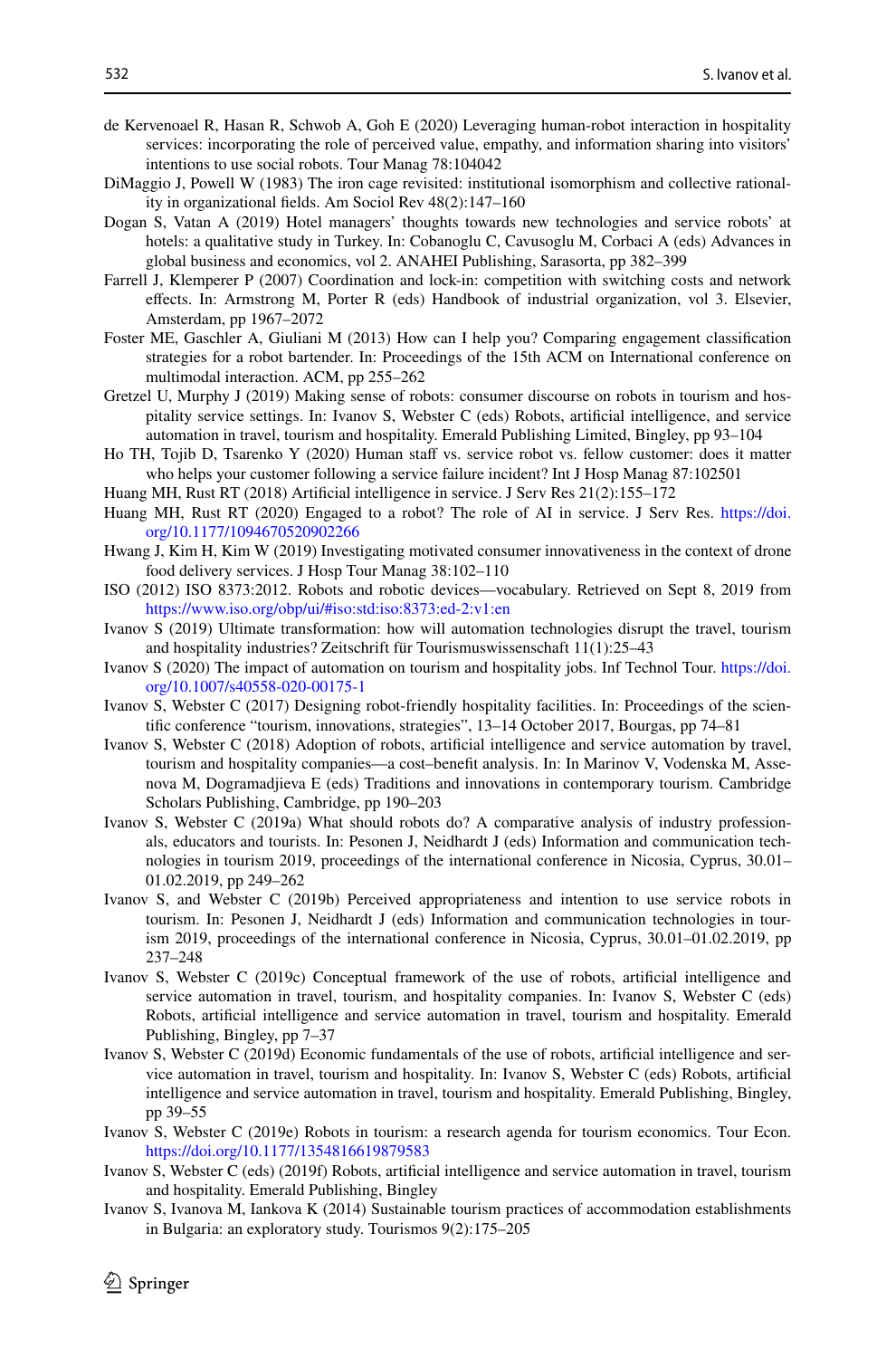- <span id="page-27-11"></span>de Kervenoael R, Hasan R, Schwob A, Goh E (2020) Leveraging human-robot interaction in hospitality services: incorporating the role of perceived value, empathy, and information sharing into visitors' intentions to use social robots. Tour Manag 78:104042
- <span id="page-27-18"></span>DiMaggio J, Powell W (1983) The iron cage revisited: institutional isomorphism and collective rationality in organizational felds. Am Sociol Rev 48(2):147–160
- <span id="page-27-12"></span>Dogan S, Vatan A (2019) Hotel managers' thoughts towards new technologies and service robots' at hotels: a qualitative study in Turkey. In: Cobanoglu C, Cavusoglu M, Corbaci A (eds) Advances in global business and economics, vol 2. ANAHEI Publishing, Sarasorta, pp 382–399
- <span id="page-27-16"></span>Farrell J, Klemperer P (2007) Coordination and lock-in: competition with switching costs and network efects. In: Armstrong M, Porter R (eds) Handbook of industrial organization, vol 3. Elsevier, Amsterdam, pp 1967–2072
- <span id="page-27-5"></span>Foster ME, Gaschler A, Giuliani M (2013) How can I help you? Comparing engagement classifcation strategies for a robot bartender. In: Proceedings of the 15th ACM on International conference on multimodal interaction. ACM, pp 255–262
- <span id="page-27-7"></span>Gretzel U, Murphy J (2019) Making sense of robots: consumer discourse on robots in tourism and hospitality service settings. In: Ivanov S, Webster C (eds) Robots, artifcial intelligence, and service automation in travel, tourism and hospitality. Emerald Publishing Limited, Bingley, pp 93–104
- <span id="page-27-10"></span>Ho TH, Tojib D, Tsarenko Y (2020) Human staff vs. service robot vs. fellow customer: does it matter who helps your customer following a service failure incident? Int J Hosp Manag 87:102501
- <span id="page-27-0"></span>Huang MH, Rust RT (2018) Artifcial intelligence in service. J Serv Res 21(2):155–172
- <span id="page-27-1"></span>Huang MH, Rust RT (2020) Engaged to a robot? The role of AI in service. J Serv Res. [https://doi.](https://doi.org/10.1177/1094670520902266) [org/10.1177/1094670520902266](https://doi.org/10.1177/1094670520902266)
- <span id="page-27-6"></span>Hwang J, Kim H, Kim W (2019) Investigating motivated consumer innovativeness in the context of drone food delivery services. J Hosp Tour Manag 38:102–110
- <span id="page-27-2"></span>ISO (2012) ISO 8373:2012. Robots and robotic devices—vocabulary. Retrieved on Sept 8, 2019 from <https://www.iso.org/obp/ui/#iso:std:iso:8373:ed-2:v1:en>
- <span id="page-27-13"></span>Ivanov S (2019) Ultimate transformation: how will automation technologies disrupt the travel, tourism and hospitality industries? Zeitschrift für Tourismuswissenschaft 11(1):25–43
- <span id="page-27-20"></span>Ivanov S (2020) The impact of automation on tourism and hospitality jobs. Inf Technol Tour. [https://doi.](https://doi.org/10.1007/s40558-020-00175-1) [org/10.1007/s40558-020-00175-1](https://doi.org/10.1007/s40558-020-00175-1)
- <span id="page-27-15"></span>Ivanov S, Webster C (2017) Designing robot-friendly hospitality facilities. In: Proceedings of the scientifc conference "tourism, innovations, strategies", 13–14 October 2017, Bourgas, pp 74–81
- <span id="page-27-19"></span>Ivanov S, Webster C (2018) Adoption of robots, artifcial intelligence and service automation by travel, tourism and hospitality companies—a cost–benefit analysis. In: In Marinov V, Vodenska M, Assenova M, Dogramadjieva E (eds) Traditions and innovations in contemporary tourism. Cambridge Scholars Publishing, Cambridge, pp 190–203
- <span id="page-27-8"></span>Ivanov S, Webster C (2019a) What should robots do? A comparative analysis of industry professionals, educators and tourists. In: Pesonen J, Neidhardt J (eds) Information and communication technologies in tourism 2019, proceedings of the international conference in Nicosia, Cyprus, 30.01– 01.02.2019, pp 249–262
- <span id="page-27-9"></span>Ivanov S, and Webster C (2019b) Perceived appropriateness and intention to use service robots in tourism. In: Pesonen J, Neidhardt J (eds) Information and communication technologies in tourism 2019, proceedings of the international conference in Nicosia, Cyprus, 30.01–01.02.2019, pp 237–248
- <span id="page-27-3"></span>Ivanov S, Webster C (2019c) Conceptual framework of the use of robots, artifcial intelligence and service automation in travel, tourism, and hospitality companies. In: Ivanov S, Webster C (eds) Robots, artifcial intelligence and service automation in travel, tourism and hospitality. Emerald Publishing, Bingley, pp 7–37
- <span id="page-27-17"></span>Ivanov S, Webster C (2019d) Economic fundamentals of the use of robots, artifcial intelligence and service automation in travel, tourism and hospitality. In: Ivanov S, Webster C (eds) Robots, artifcial intelligence and service automation in travel, tourism and hospitality. Emerald Publishing, Bingley, pp 39–55
- <span id="page-27-14"></span>Ivanov S, Webster C (2019e) Robots in tourism: a research agenda for tourism economics. Tour Econ. <https://doi.org/10.1177/1354816619879583>
- <span id="page-27-4"></span>Ivanov S, Webster C (eds) (2019f) Robots, artifcial intelligence and service automation in travel, tourism and hospitality. Emerald Publishing, Bingley
- <span id="page-27-21"></span>Ivanov S, Ivanova M, Iankova K (2014) Sustainable tourism practices of accommodation establishments in Bulgaria: an exploratory study. Tourismos 9(2):175–205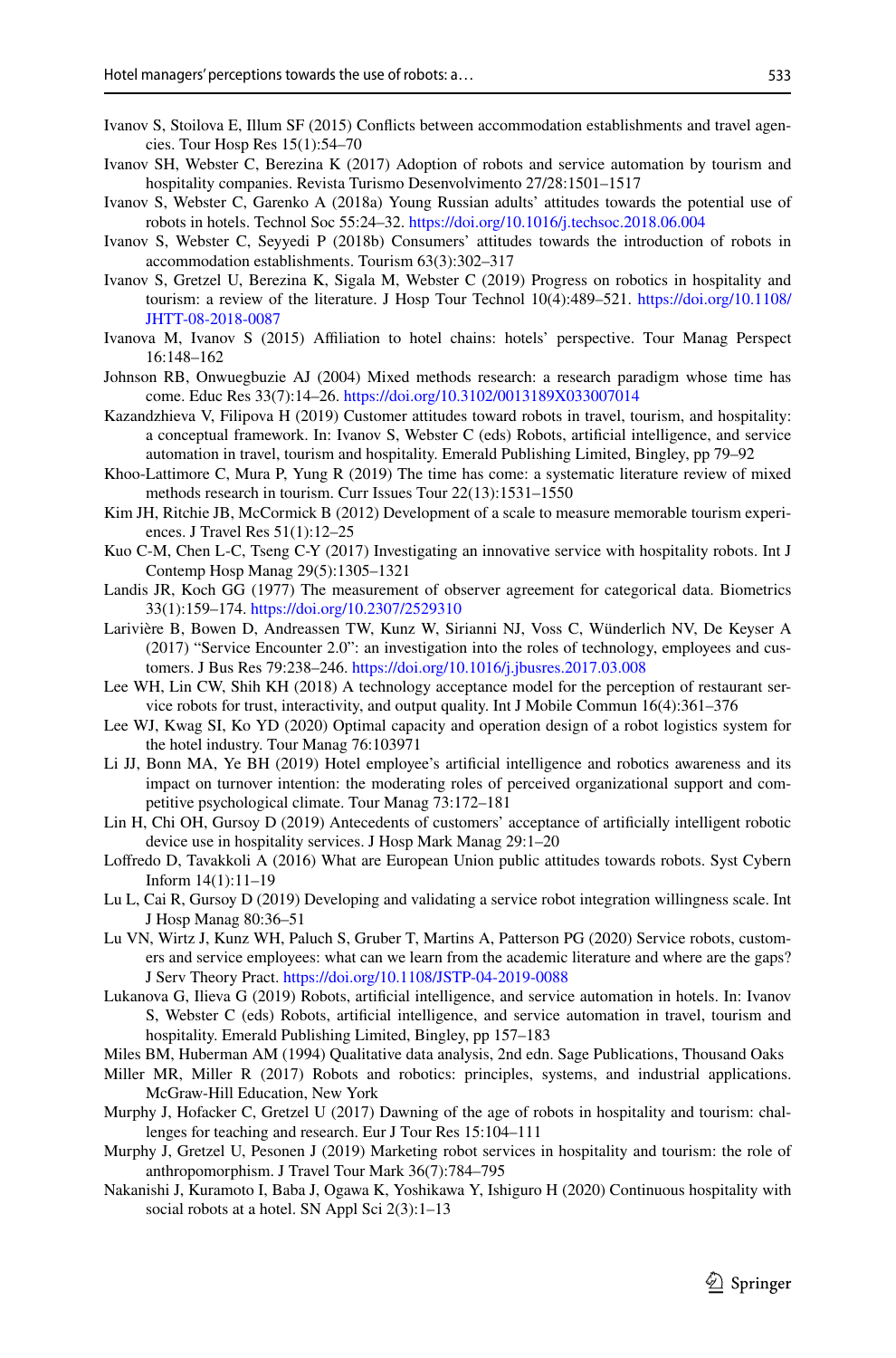- 533
- <span id="page-28-24"></span>Ivanov S, Stoilova E, Illum SF (2015) Conficts between accommodation establishments and travel agencies. Tour Hosp Res 15(1):54–70
- <span id="page-28-5"></span>Ivanov SH, Webster C, Berezina K (2017) Adoption of robots and service automation by tourism and hospitality companies. Revista Turismo Desenvolvimento 27/28:1501–1517
- <span id="page-28-9"></span>Ivanov S, Webster C, Garenko A (2018a) Young Russian adults' attitudes towards the potential use of robots in hotels. Technol Soc 55:24–32. <https://doi.org/10.1016/j.techsoc.2018.06.004>
- <span id="page-28-10"></span>Ivanov S, Webster C, Seyyedi P (2018b) Consumers' attitudes towards the introduction of robots in accommodation establishments. Tourism 63(3):302–317
- <span id="page-28-6"></span>Ivanov S, Gretzel U, Berezina K, Sigala M, Webster C (2019) Progress on robotics in hospitality and tourism: a review of the literature. J Hosp Tour Technol 10(4):489–521. [https://doi.org/10.1108/](https://doi.org/10.1108/JHTT-08-2018-0087) [JHTT-08-2018-0087](https://doi.org/10.1108/JHTT-08-2018-0087)
- <span id="page-28-25"></span>Ivanova M, Ivanov S (2015) Afliation to hotel chains: hotels' perspective. Tour Manag Perspect 16:148–162
- <span id="page-28-20"></span>Johnson RB, Onwuegbuzie AJ (2004) Mixed methods research: a research paradigm whose time has come. Educ Res 33(7):14–26. <https://doi.org/10.3102/0013189X033007014>
- <span id="page-28-15"></span>Kazandzhieva V, Filipova H (2019) Customer attitudes toward robots in travel, tourism, and hospitality: a conceptual framework. In: Ivanov S, Webster C (eds) Robots, artifcial intelligence, and service automation in travel, tourism and hospitality. Emerald Publishing Limited, Bingley, pp 79–92
- <span id="page-28-17"></span>Khoo-Lattimore C, Mura P, Yung R (2019) The time has come: a systematic literature review of mixed methods research in tourism. Curr Issues Tour 22(13):1531–1550
- <span id="page-28-21"></span>Kim JH, Ritchie JB, McCormick B (2012) Development of a scale to measure memorable tourism experiences. J Travel Res 51(1):12–25
- <span id="page-28-13"></span>Kuo C-M, Chen L-C, Tseng C-Y (2017) Investigating an innovative service with hospitality robots. Int J Contemp Hosp Manag 29(5):1305–1321
- <span id="page-28-19"></span>Landis JR, Koch GG (1977) The measurement of observer agreement for categorical data. Biometrics 33(1):159–174.<https://doi.org/10.2307/2529310>
- <span id="page-28-22"></span>Larivière B, Bowen D, Andreassen TW, Kunz W, Sirianni NJ, Voss C, Wünderlich NV, De Keyser A (2017) "Service Encounter 2.0": an investigation into the roles of technology, employees and customers. J Bus Res 79:238–246. <https://doi.org/10.1016/j.jbusres.2017.03.008>
- <span id="page-28-4"></span>Lee WH, Lin CW, Shih KH (2018) A technology acceptance model for the perception of restaurant service robots for trust, interactivity, and output quality. Int J Mobile Commun 16(4):361–376
- <span id="page-28-23"></span>Lee WJ, Kwag SI, Ko YD (2020) Optimal capacity and operation design of a robot logistics system for the hotel industry. Tour Manag 76:103971
- <span id="page-28-14"></span>Li JJ, Bonn MA, Ye BH (2019) Hotel employee's artifcial intelligence and robotics awareness and its impact on turnover intention: the moderating roles of perceived organizational support and competitive psychological climate. Tour Manag 73:172–181
- <span id="page-28-11"></span>Lin H, Chi OH, Gursoy D (2019) Antecedents of customers' acceptance of artifcially intelligent robotic device use in hospitality services. J Hosp Mark Manag 29:1–20
- <span id="page-28-16"></span>Lofredo D, Tavakkoli A (2016) What are European Union public attitudes towards robots. Syst Cybern Inform 14(1):11–19
- <span id="page-28-12"></span>Lu L, Cai R, Gursoy D (2019) Developing and validating a service robot integration willingness scale. Int J Hosp Manag 80:36–51
- <span id="page-28-0"></span>Lu VN, Wirtz J, Kunz WH, Paluch S, Gruber T, Martins A, Patterson PG (2020) Service robots, customers and service employees: what can we learn from the academic literature and where are the gaps? J Serv Theory Pract.<https://doi.org/10.1108/JSTP-04-2019-0088>
- <span id="page-28-2"></span>Lukanova G, Ilieva G (2019) Robots, artifcial intelligence, and service automation in hotels. In: Ivanov S, Webster C (eds) Robots, artifcial intelligence, and service automation in travel, tourism and hospitality. Emerald Publishing Limited, Bingley, pp 157–183
- <span id="page-28-18"></span>Miles BM, Huberman AM (1994) Qualitative data analysis, 2nd edn. Sage Publications, Thousand Oaks
- <span id="page-28-1"></span>Miller MR, Miller R (2017) Robots and robotics: principles, systems, and industrial applications. McGraw-Hill Education, New York
- <span id="page-28-7"></span>Murphy J, Hofacker C, Gretzel U (2017) Dawning of the age of robots in hospitality and tourism: challenges for teaching and research. Eur J Tour Res 15:104–111
- <span id="page-28-8"></span>Murphy J, Gretzel U, Pesonen J (2019) Marketing robot services in hospitality and tourism: the role of anthropomorphism. J Travel Tour Mark 36(7):784–795
- <span id="page-28-3"></span>Nakanishi J, Kuramoto I, Baba J, Ogawa K, Yoshikawa Y, Ishiguro H (2020) Continuous hospitality with social robots at a hotel. SN Appl Sci 2(3):1–13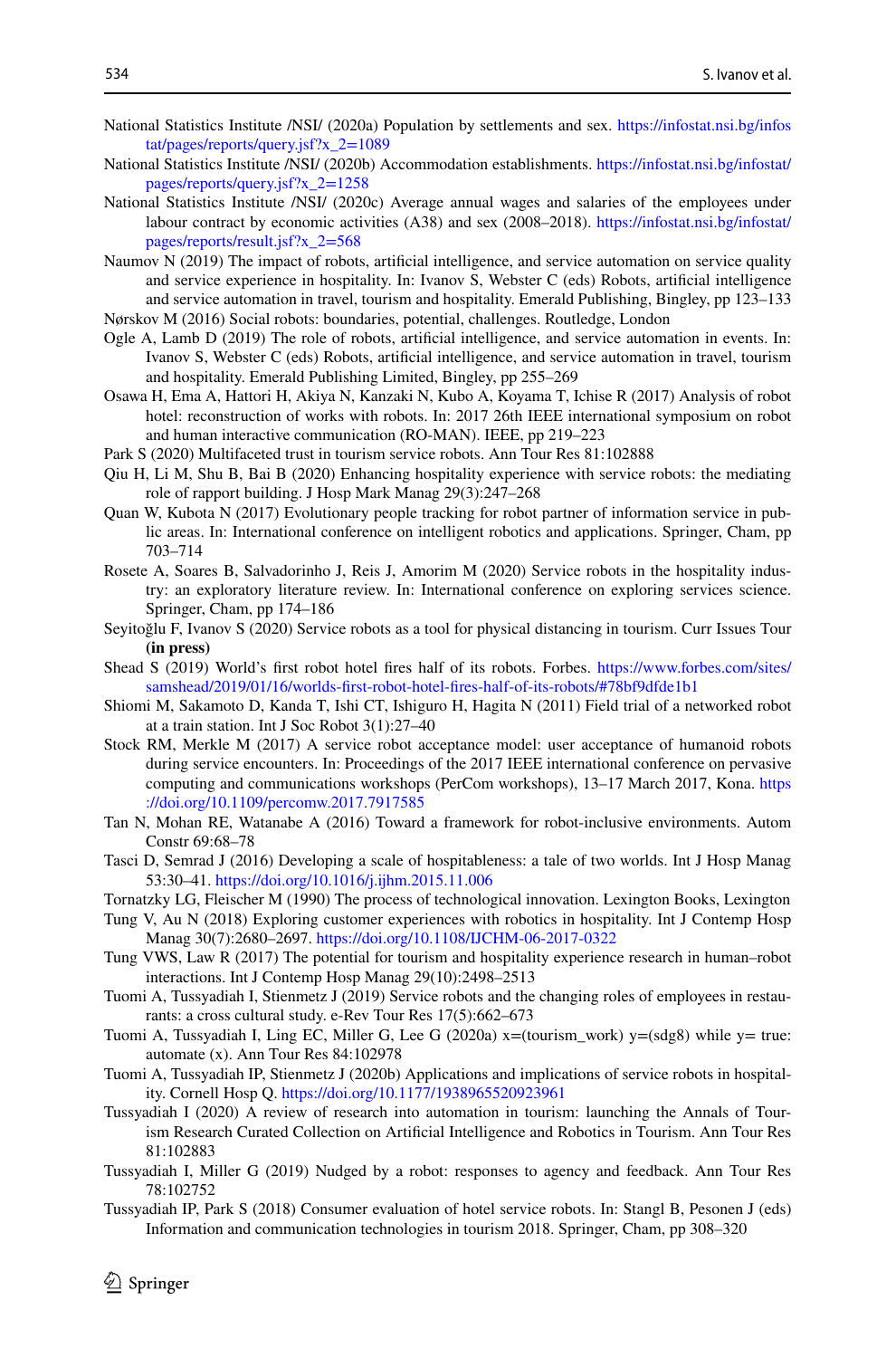- <span id="page-29-18"></span>National Statistics Institute /NSI/ (2020a) Population by settlements and sex. [https://infostat.nsi.bg/infos](https://infostat.nsi.bg/infostat/pages/reports/query.jsf%3fx_2%3d1089) [tat/pages/reports/query.jsf?x\\_2=1089](https://infostat.nsi.bg/infostat/pages/reports/query.jsf%3fx_2%3d1089)
- <span id="page-29-19"></span>National Statistics Institute /NSI/ (2020b) Accommodation establishments. [https://infostat.nsi.bg/infostat/](https://infostat.nsi.bg/infostat/pages/reports/query.jsf%3fx_2%3d1258) [pages/reports/query.jsf?x\\_2=1258](https://infostat.nsi.bg/infostat/pages/reports/query.jsf%3fx_2%3d1258)
- <span id="page-29-17"></span>National Statistics Institute /NSI/ (2020c) Average annual wages and salaries of the employees under labour contract by economic activities (A38) and sex (2008–2018). [https://infostat.nsi.bg/infostat/](https://infostat.nsi.bg/infostat/pages/reports/result.jsf%3fx_2%3d568) [pages/reports/result.jsf?x\\_2=568](https://infostat.nsi.bg/infostat/pages/reports/result.jsf%3fx_2%3d568)
- <span id="page-29-2"></span>Naumov N (2019) The impact of robots, artifcial intelligence, and service automation on service quality and service experience in hospitality. In: Ivanov S, Webster C (eds) Robots, artifcial intelligence and service automation in travel, tourism and hospitality. Emerald Publishing, Bingley, pp 123–133 Nørskov M (2016) Social robots: boundaries, potential, challenges. Routledge, London
- <span id="page-29-7"></span><span id="page-29-1"></span>Ogle A, Lamb D (2019) The role of robots, artifcial intelligence, and service automation in events. In: Ivanov S, Webster C (eds) Robots, artifcial intelligence, and service automation in travel, tourism and hospitality. Emerald Publishing Limited, Bingley, pp 255–269
- <span id="page-29-20"></span>Osawa H, Ema A, Hattori H, Akiya N, Kanzaki N, Kubo A, Koyama T, Ichise R (2017) Analysis of robot hotel: reconstruction of works with robots. In: 2017 26th IEEE international symposium on robot and human interactive communication (RO-MAN). IEEE, pp 219–223
- <span id="page-29-12"></span>Park S (2020) Multifaceted trust in tourism service robots. Ann Tour Res 81:102888
- <span id="page-29-14"></span>Qiu H, Li M, Shu B, Bai B (2020) Enhancing hospitality experience with service robots: the mediating role of rapport building. J Hosp Mark Manag 29(3):247–268
- <span id="page-29-5"></span>Quan W, Kubota N (2017) Evolutionary people tracking for robot partner of information service in public areas. In: International conference on intelligent robotics and applications. Springer, Cham, pp 703–714
- <span id="page-29-8"></span>Rosete A, Soares B, Salvadorinho J, Reis J, Amorim M (2020) Service robots in the hospitality industry: an exploratory literature review. In: International conference on exploring services science. Springer, Cham, pp 174–186
- <span id="page-29-3"></span>Seyitoğlu F, Ivanov S (2020) Service robots as a tool for physical distancing in tourism. Curr Issues Tour **(in press)**
- <span id="page-29-0"></span>Shead S (2019) World's frst robot hotel fres half of its robots. Forbes. [https://www.forbes.com/sites/](https://www.forbes.com/sites/samshead/2019/01/16/worlds-first-robot-hotel-fires-half-of-its-robots/#78bf9dfde1b1) [samshead/2019/01/16/worlds-frst-robot-hotel-fres-half-of-its-robots/#78bf9dfde1b1](https://www.forbes.com/sites/samshead/2019/01/16/worlds-first-robot-hotel-fires-half-of-its-robots/#78bf9dfde1b1)
- <span id="page-29-6"></span>Shiomi M, Sakamoto D, Kanda T, Ishi CT, Ishiguro H, Hagita N (2011) Field trial of a networked robot at a train station. Int J Soc Robot 3(1):27–40
- <span id="page-29-11"></span>Stock RM, Merkle M (2017) A service robot acceptance model: user acceptance of humanoid robots during service encounters. In: Proceedings of the 2017 IEEE international conference on pervasive computing and communications workshops (PerCom workshops), 13–17 March 2017, Kona. [https](https://doi.org/10.1109/percomw.2017.7917585) [://doi.org/10.1109/percomw.2017.7917585](https://doi.org/10.1109/percomw.2017.7917585)
- <span id="page-29-22"></span>Tan N, Mohan RE, Watanabe A (2016) Toward a framework for robot-inclusive environments. Autom Constr 69:68–78
- <span id="page-29-24"></span>Tasci D, Semrad J (2016) Developing a scale of hospitableness: a tale of two worlds. Int J Hosp Manag 53:30–41. <https://doi.org/10.1016/j.ijhm.2015.11.006>
- <span id="page-29-23"></span>Tornatzky LG, Fleischer M (1990) The process of technological innovation. Lexington Books, Lexington
- <span id="page-29-25"></span>Tung V, Au N (2018) Exploring customer experiences with robotics in hospitality. Int J Contemp Hosp Manag 30(7):2680–2697.<https://doi.org/10.1108/IJCHM-06-2017-0322>
- <span id="page-29-9"></span>Tung VWS, Law R (2017) The potential for tourism and hospitality experience research in human–robot interactions. Int J Contemp Hosp Manag 29(10):2498–2513
- <span id="page-29-16"></span>Tuomi A, Tussyadiah I, Stienmetz J (2019) Service robots and the changing roles of employees in restaurants: a cross cultural study. e-Rev Tour Res 17(5):662–673
- <span id="page-29-21"></span>Tuomi A, Tussyadiah I, Ling EC, Miller G, Lee G (2020a) x=(tourism\_work) y=(sdg8) while y= true: automate (x). Ann Tour Res 84:102978
- <span id="page-29-4"></span>Tuomi A, Tussyadiah IP, Stienmetz J (2020b) Applications and implications of service robots in hospitality. Cornell Hosp Q.<https://doi.org/10.1177/1938965520923961>
- <span id="page-29-10"></span>Tussyadiah I (2020) A review of research into automation in tourism: launching the Annals of Tourism Research Curated Collection on Artifcial Intelligence and Robotics in Tourism. Ann Tour Res 81:102883
- <span id="page-29-15"></span>Tussyadiah I, Miller G (2019) Nudged by a robot: responses to agency and feedback. Ann Tour Res 78:102752
- <span id="page-29-13"></span>Tussyadiah IP, Park S (2018) Consumer evaluation of hotel service robots. In: Stangl B, Pesonen J (eds) Information and communication technologies in tourism 2018. Springer, Cham, pp 308–320